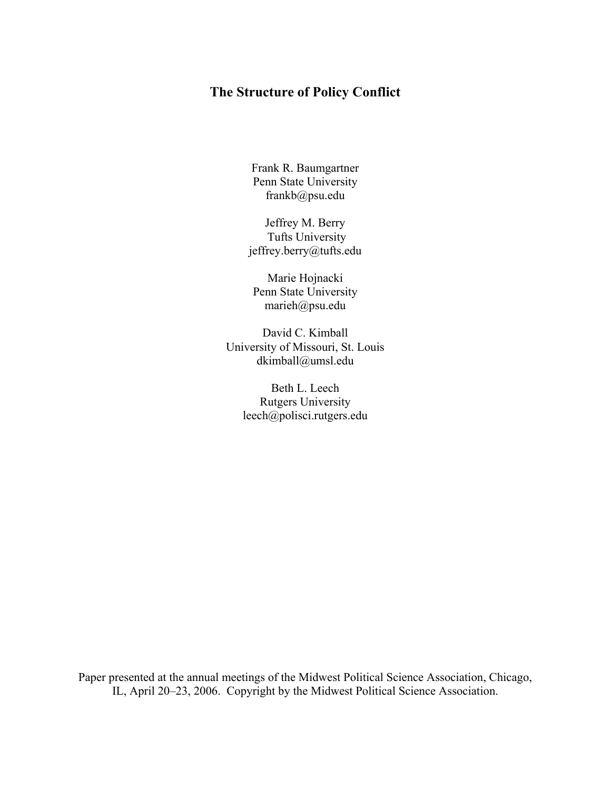Frank R. Baumgartner Penn State University frankb@psu.edu

Jeffrey M. Berry Tufts University jeffrey.berry@tufts.edu

Marie Hojnacki Penn State University marieh@psu.edu

David C. Kimball University of Missouri, St. Louis dkimball@umsl.edu

Beth L. Leech Rutgers University leech@polisci.rutgers.edu

Paper presented at the annual meetings of the Midwest Political Science Association, Chicago, IL, April 20–23, 2006. Copyright by the Midwest Political Science Association.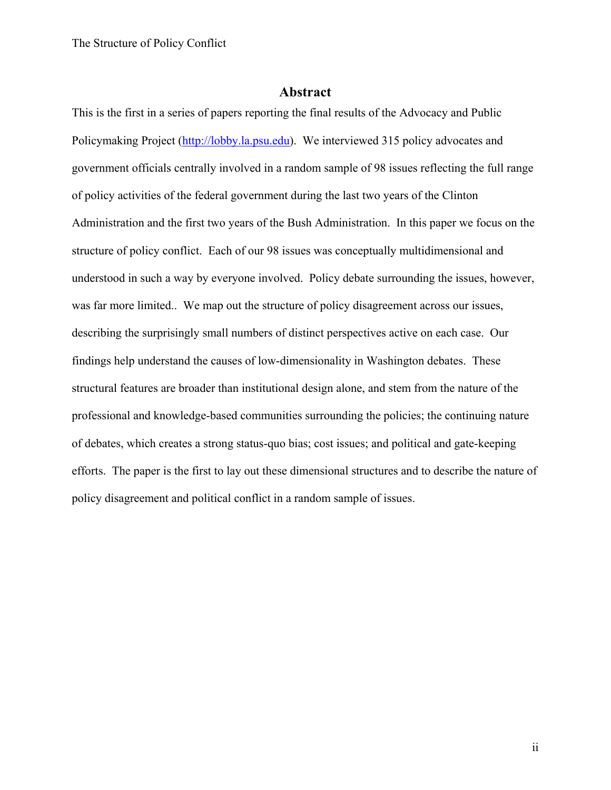# **Abstract**

This is the first in a series of papers reporting the final results of the Advocacy and Public Policymaking Project (http://lobby.la.psu.edu). We interviewed 315 policy advocates and government officials centrally involved in a random sample of 98 issues reflecting the full range of policy activities of the federal government during the last two years of the Clinton Administration and the first two years of the Bush Administration. In this paper we focus on the structure of policy conflict. Each of our 98 issues was conceptually multidimensional and understood in such a way by everyone involved. Policy debate surrounding the issues, however, was far more limited.. We map out the structure of policy disagreement across our issues, describing the surprisingly small numbers of distinct perspectives active on each case. Our findings help understand the causes of low-dimensionality in Washington debates. These structural features are broader than institutional design alone, and stem from the nature of the professional and knowledge-based communities surrounding the policies; the continuing nature of debates, which creates a strong status-quo bias; cost issues; and political and gate-keeping efforts. The paper is the first to lay out these dimensional structures and to describe the nature of policy disagreement and political conflict in a random sample of issues.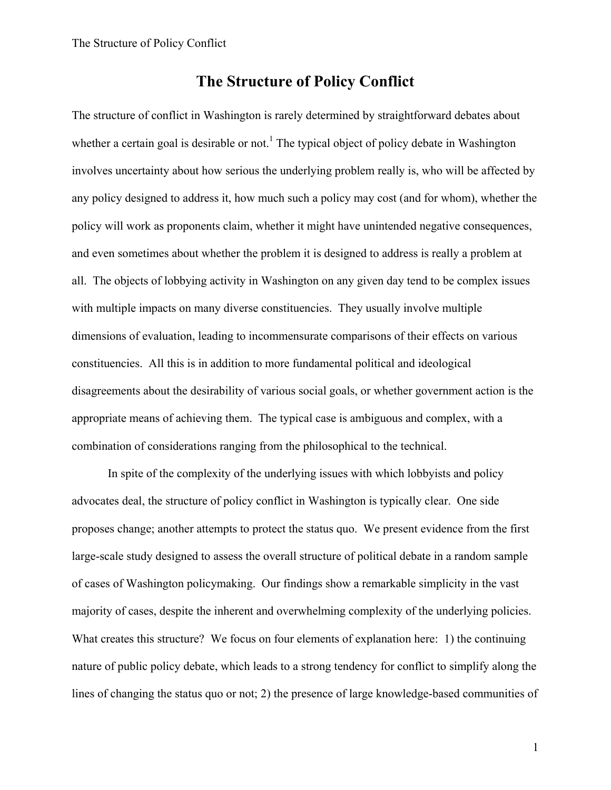The structure of conflict in Washington is rarely determined by straightforward debates about whether a certain goal is desirable or not.<sup>1</sup> The typical object of policy debate in Washington involves uncertainty about how serious the underlying problem really is, who will be affected by any policy designed to address it, how much such a policy may cost (and for whom), whether the policy will work as proponents claim, whether it might have unintended negative consequences, and even sometimes about whether the problem it is designed to address is really a problem at all. The objects of lobbying activity in Washington on any given day tend to be complex issues with multiple impacts on many diverse constituencies. They usually involve multiple dimensions of evaluation, leading to incommensurate comparisons of their effects on various constituencies. All this is in addition to more fundamental political and ideological disagreements about the desirability of various social goals, or whether government action is the appropriate means of achieving them. The typical case is ambiguous and complex, with a combination of considerations ranging from the philosophical to the technical.

In spite of the complexity of the underlying issues with which lobbyists and policy advocates deal, the structure of policy conflict in Washington is typically clear. One side proposes change; another attempts to protect the status quo. We present evidence from the first large-scale study designed to assess the overall structure of political debate in a random sample of cases of Washington policymaking. Our findings show a remarkable simplicity in the vast majority of cases, despite the inherent and overwhelming complexity of the underlying policies. What creates this structure? We focus on four elements of explanation here: 1) the continuing nature of public policy debate, which leads to a strong tendency for conflict to simplify along the lines of changing the status quo or not; 2) the presence of large knowledge-based communities of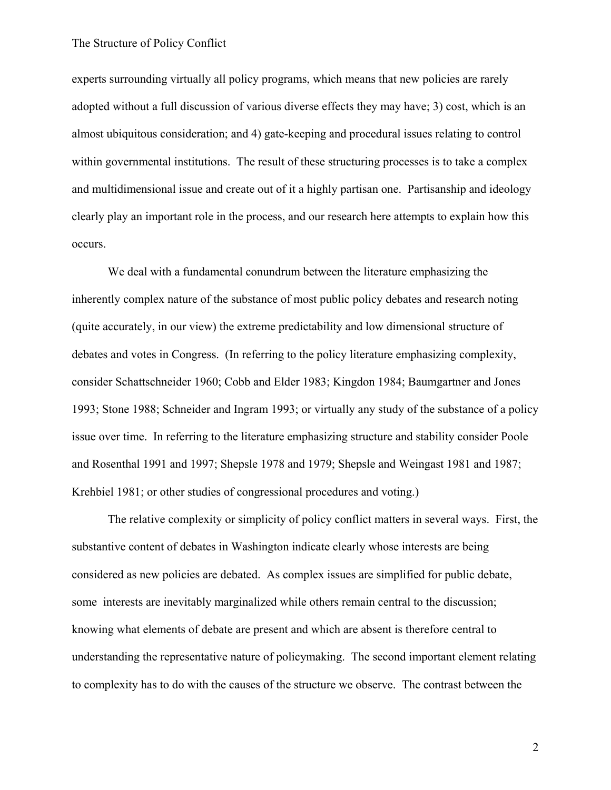experts surrounding virtually all policy programs, which means that new policies are rarely adopted without a full discussion of various diverse effects they may have; 3) cost, which is an almost ubiquitous consideration; and 4) gate-keeping and procedural issues relating to control within governmental institutions. The result of these structuring processes is to take a complex and multidimensional issue and create out of it a highly partisan one. Partisanship and ideology clearly play an important role in the process, and our research here attempts to explain how this occurs.

We deal with a fundamental conundrum between the literature emphasizing the inherently complex nature of the substance of most public policy debates and research noting (quite accurately, in our view) the extreme predictability and low dimensional structure of debates and votes in Congress. (In referring to the policy literature emphasizing complexity, consider Schattschneider 1960; Cobb and Elder 1983; Kingdon 1984; Baumgartner and Jones 1993; Stone 1988; Schneider and Ingram 1993; or virtually any study of the substance of a policy issue over time. In referring to the literature emphasizing structure and stability consider Poole and Rosenthal 1991 and 1997; Shepsle 1978 and 1979; Shepsle and Weingast 1981 and 1987; Krehbiel 1981; or other studies of congressional procedures and voting.)

The relative complexity or simplicity of policy conflict matters in several ways. First, the substantive content of debates in Washington indicate clearly whose interests are being considered as new policies are debated. As complex issues are simplified for public debate, some interests are inevitably marginalized while others remain central to the discussion; knowing what elements of debate are present and which are absent is therefore central to understanding the representative nature of policymaking. The second important element relating to complexity has to do with the causes of the structure we observe. The contrast between the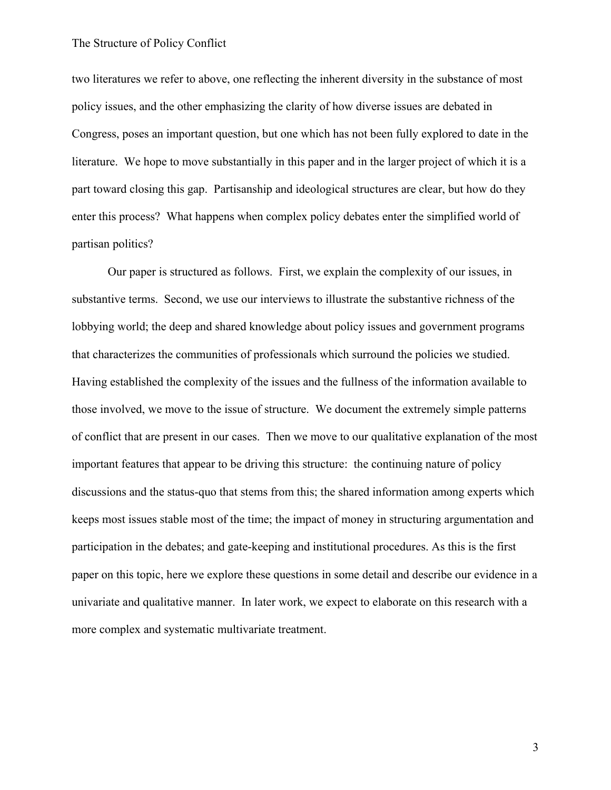two literatures we refer to above, one reflecting the inherent diversity in the substance of most policy issues, and the other emphasizing the clarity of how diverse issues are debated in Congress, poses an important question, but one which has not been fully explored to date in the literature. We hope to move substantially in this paper and in the larger project of which it is a part toward closing this gap. Partisanship and ideological structures are clear, but how do they enter this process? What happens when complex policy debates enter the simplified world of partisan politics?

Our paper is structured as follows. First, we explain the complexity of our issues, in substantive terms. Second, we use our interviews to illustrate the substantive richness of the lobbying world; the deep and shared knowledge about policy issues and government programs that characterizes the communities of professionals which surround the policies we studied. Having established the complexity of the issues and the fullness of the information available to those involved, we move to the issue of structure. We document the extremely simple patterns of conflict that are present in our cases. Then we move to our qualitative explanation of the most important features that appear to be driving this structure: the continuing nature of policy discussions and the status-quo that stems from this; the shared information among experts which keeps most issues stable most of the time; the impact of money in structuring argumentation and participation in the debates; and gate-keeping and institutional procedures. As this is the first paper on this topic, here we explore these questions in some detail and describe our evidence in a univariate and qualitative manner. In later work, we expect to elaborate on this research with a more complex and systematic multivariate treatment.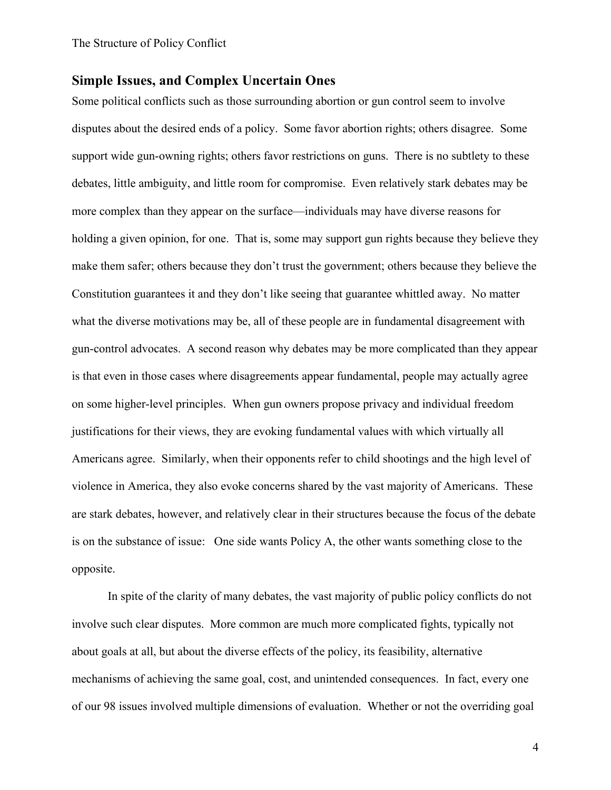### **Simple Issues, and Complex Uncertain Ones**

Some political conflicts such as those surrounding abortion or gun control seem to involve disputes about the desired ends of a policy. Some favor abortion rights; others disagree. Some support wide gun-owning rights; others favor restrictions on guns. There is no subtlety to these debates, little ambiguity, and little room for compromise. Even relatively stark debates may be more complex than they appear on the surface—individuals may have diverse reasons for holding a given opinion, for one. That is, some may support gun rights because they believe they make them safer; others because they don't trust the government; others because they believe the Constitution guarantees it and they don't like seeing that guarantee whittled away. No matter what the diverse motivations may be, all of these people are in fundamental disagreement with gun-control advocates. A second reason why debates may be more complicated than they appear is that even in those cases where disagreements appear fundamental, people may actually agree on some higher-level principles. When gun owners propose privacy and individual freedom justifications for their views, they are evoking fundamental values with which virtually all Americans agree. Similarly, when their opponents refer to child shootings and the high level of violence in America, they also evoke concerns shared by the vast majority of Americans. These are stark debates, however, and relatively clear in their structures because the focus of the debate is on the substance of issue: One side wants Policy A, the other wants something close to the opposite.

In spite of the clarity of many debates, the vast majority of public policy conflicts do not involve such clear disputes. More common are much more complicated fights, typically not about goals at all, but about the diverse effects of the policy, its feasibility, alternative mechanisms of achieving the same goal, cost, and unintended consequences. In fact, every one of our 98 issues involved multiple dimensions of evaluation. Whether or not the overriding goal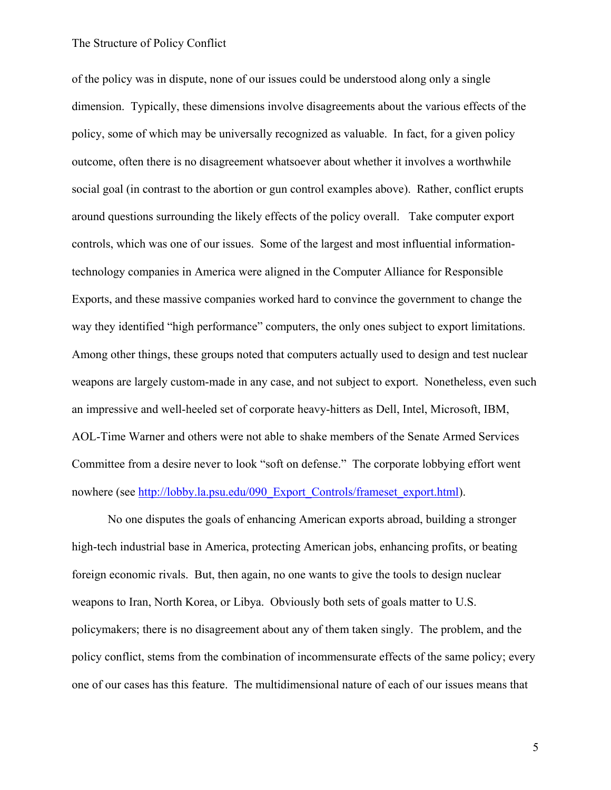of the policy was in dispute, none of our issues could be understood along only a single dimension. Typically, these dimensions involve disagreements about the various effects of the policy, some of which may be universally recognized as valuable. In fact, for a given policy outcome, often there is no disagreement whatsoever about whether it involves a worthwhile social goal (in contrast to the abortion or gun control examples above). Rather, conflict erupts around questions surrounding the likely effects of the policy overall. Take computer export controls, which was one of our issues. Some of the largest and most influential informationtechnology companies in America were aligned in the Computer Alliance for Responsible Exports, and these massive companies worked hard to convince the government to change the way they identified "high performance" computers, the only ones subject to export limitations. Among other things, these groups noted that computers actually used to design and test nuclear weapons are largely custom-made in any case, and not subject to export. Nonetheless, even such an impressive and well-heeled set of corporate heavy-hitters as Dell, Intel, Microsoft, IBM, AOL-Time Warner and others were not able to shake members of the Senate Armed Services Committee from a desire never to look "soft on defense." The corporate lobbying effort went nowhere (see http://lobby.la.psu.edu/090\_Export\_Controls/frameset\_export.html).

No one disputes the goals of enhancing American exports abroad, building a stronger high-tech industrial base in America, protecting American jobs, enhancing profits, or beating foreign economic rivals. But, then again, no one wants to give the tools to design nuclear weapons to Iran, North Korea, or Libya. Obviously both sets of goals matter to U.S. policymakers; there is no disagreement about any of them taken singly. The problem, and the policy conflict, stems from the combination of incommensurate effects of the same policy; every one of our cases has this feature. The multidimensional nature of each of our issues means that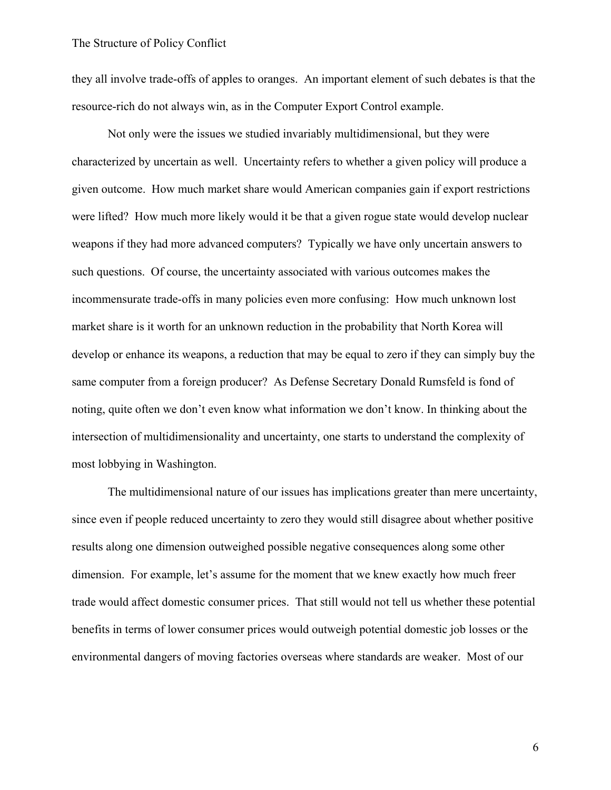they all involve trade-offs of apples to oranges. An important element of such debates is that the resource-rich do not always win, as in the Computer Export Control example.

Not only were the issues we studied invariably multidimensional, but they were characterized by uncertain as well. Uncertainty refers to whether a given policy will produce a given outcome. How much market share would American companies gain if export restrictions were lifted? How much more likely would it be that a given rogue state would develop nuclear weapons if they had more advanced computers? Typically we have only uncertain answers to such questions. Of course, the uncertainty associated with various outcomes makes the incommensurate trade-offs in many policies even more confusing: How much unknown lost market share is it worth for an unknown reduction in the probability that North Korea will develop or enhance its weapons, a reduction that may be equal to zero if they can simply buy the same computer from a foreign producer? As Defense Secretary Donald Rumsfeld is fond of noting, quite often we don't even know what information we don't know. In thinking about the intersection of multidimensionality and uncertainty, one starts to understand the complexity of most lobbying in Washington.

The multidimensional nature of our issues has implications greater than mere uncertainty, since even if people reduced uncertainty to zero they would still disagree about whether positive results along one dimension outweighed possible negative consequences along some other dimension. For example, let's assume for the moment that we knew exactly how much freer trade would affect domestic consumer prices. That still would not tell us whether these potential benefits in terms of lower consumer prices would outweigh potential domestic job losses or the environmental dangers of moving factories overseas where standards are weaker. Most of our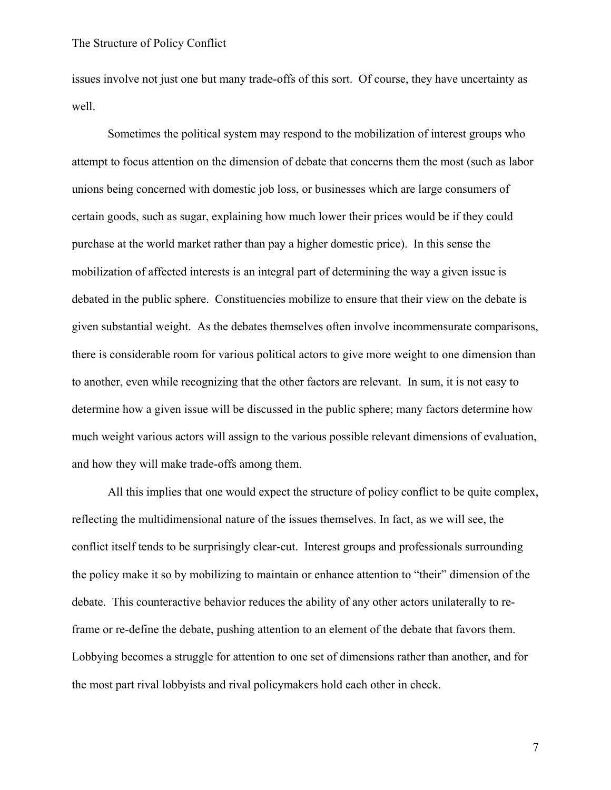issues involve not just one but many trade-offs of this sort. Of course, they have uncertainty as well.

Sometimes the political system may respond to the mobilization of interest groups who attempt to focus attention on the dimension of debate that concerns them the most (such as labor unions being concerned with domestic job loss, or businesses which are large consumers of certain goods, such as sugar, explaining how much lower their prices would be if they could purchase at the world market rather than pay a higher domestic price). In this sense the mobilization of affected interests is an integral part of determining the way a given issue is debated in the public sphere. Constituencies mobilize to ensure that their view on the debate is given substantial weight. As the debates themselves often involve incommensurate comparisons, there is considerable room for various political actors to give more weight to one dimension than to another, even while recognizing that the other factors are relevant. In sum, it is not easy to determine how a given issue will be discussed in the public sphere; many factors determine how much weight various actors will assign to the various possible relevant dimensions of evaluation, and how they will make trade-offs among them.

All this implies that one would expect the structure of policy conflict to be quite complex, reflecting the multidimensional nature of the issues themselves. In fact, as we will see, the conflict itself tends to be surprisingly clear-cut. Interest groups and professionals surrounding the policy make it so by mobilizing to maintain or enhance attention to "their" dimension of the debate. This counteractive behavior reduces the ability of any other actors unilaterally to reframe or re-define the debate, pushing attention to an element of the debate that favors them. Lobbying becomes a struggle for attention to one set of dimensions rather than another, and for the most part rival lobbyists and rival policymakers hold each other in check.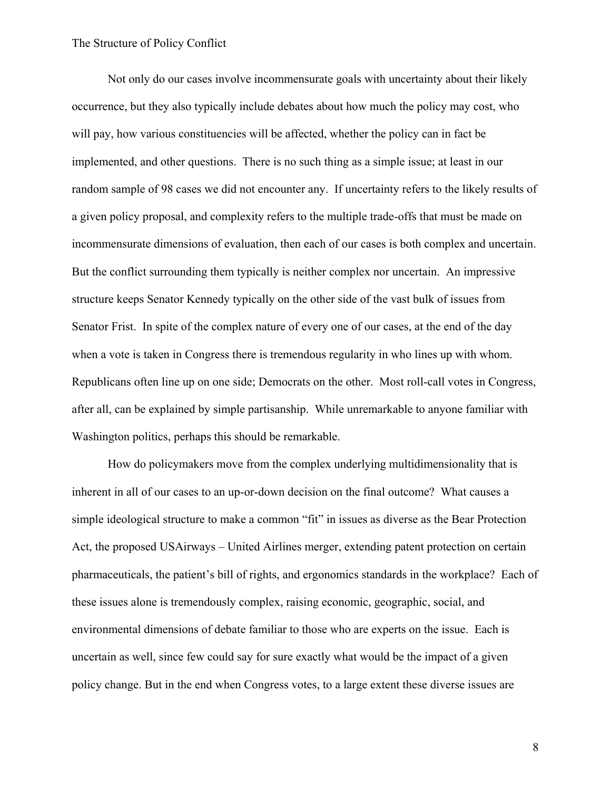Not only do our cases involve incommensurate goals with uncertainty about their likely occurrence, but they also typically include debates about how much the policy may cost, who will pay, how various constituencies will be affected, whether the policy can in fact be implemented, and other questions. There is no such thing as a simple issue; at least in our random sample of 98 cases we did not encounter any. If uncertainty refers to the likely results of a given policy proposal, and complexity refers to the multiple trade-offs that must be made on incommensurate dimensions of evaluation, then each of our cases is both complex and uncertain. But the conflict surrounding them typically is neither complex nor uncertain. An impressive structure keeps Senator Kennedy typically on the other side of the vast bulk of issues from Senator Frist. In spite of the complex nature of every one of our cases, at the end of the day when a vote is taken in Congress there is tremendous regularity in who lines up with whom. Republicans often line up on one side; Democrats on the other. Most roll-call votes in Congress, after all, can be explained by simple partisanship. While unremarkable to anyone familiar with Washington politics, perhaps this should be remarkable.

How do policymakers move from the complex underlying multidimensionality that is inherent in all of our cases to an up-or-down decision on the final outcome? What causes a simple ideological structure to make a common "fit" in issues as diverse as the Bear Protection Act, the proposed USAirways – United Airlines merger, extending patent protection on certain pharmaceuticals, the patient's bill of rights, and ergonomics standards in the workplace? Each of these issues alone is tremendously complex, raising economic, geographic, social, and environmental dimensions of debate familiar to those who are experts on the issue. Each is uncertain as well, since few could say for sure exactly what would be the impact of a given policy change. But in the end when Congress votes, to a large extent these diverse issues are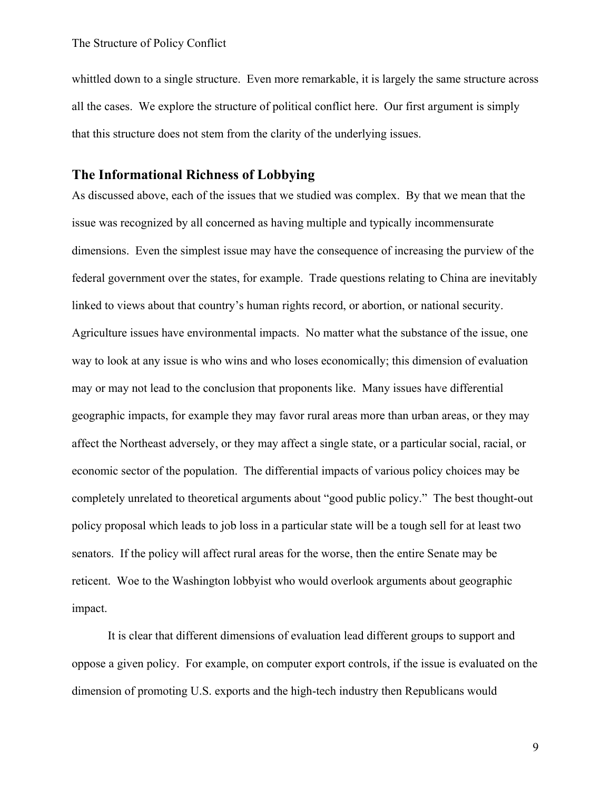whittled down to a single structure. Even more remarkable, it is largely the same structure across all the cases. We explore the structure of political conflict here. Our first argument is simply that this structure does not stem from the clarity of the underlying issues.

# **The Informational Richness of Lobbying**

As discussed above, each of the issues that we studied was complex. By that we mean that the issue was recognized by all concerned as having multiple and typically incommensurate dimensions. Even the simplest issue may have the consequence of increasing the purview of the federal government over the states, for example. Trade questions relating to China are inevitably linked to views about that country's human rights record, or abortion, or national security. Agriculture issues have environmental impacts. No matter what the substance of the issue, one way to look at any issue is who wins and who loses economically; this dimension of evaluation may or may not lead to the conclusion that proponents like. Many issues have differential geographic impacts, for example they may favor rural areas more than urban areas, or they may affect the Northeast adversely, or they may affect a single state, or a particular social, racial, or economic sector of the population. The differential impacts of various policy choices may be completely unrelated to theoretical arguments about "good public policy." The best thought-out policy proposal which leads to job loss in a particular state will be a tough sell for at least two senators. If the policy will affect rural areas for the worse, then the entire Senate may be reticent. Woe to the Washington lobbyist who would overlook arguments about geographic impact.

It is clear that different dimensions of evaluation lead different groups to support and oppose a given policy. For example, on computer export controls, if the issue is evaluated on the dimension of promoting U.S. exports and the high-tech industry then Republicans would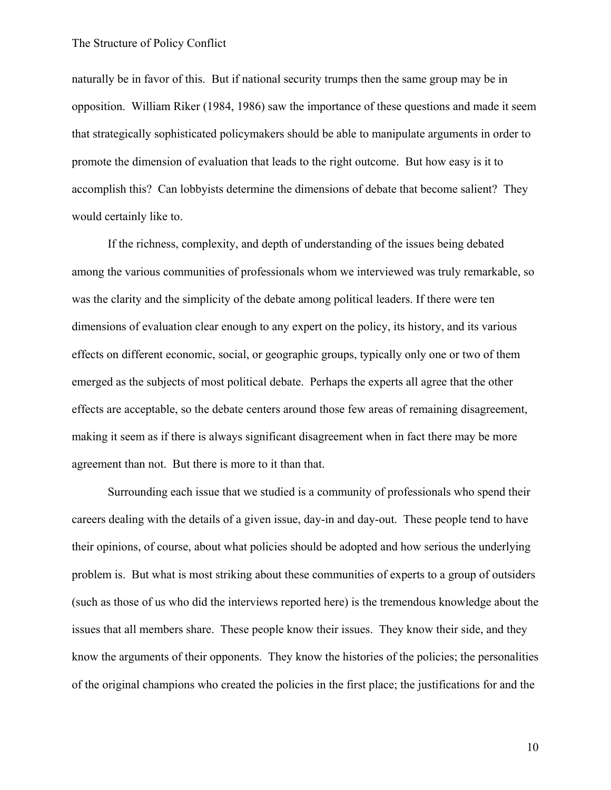naturally be in favor of this. But if national security trumps then the same group may be in opposition. William Riker (1984, 1986) saw the importance of these questions and made it seem that strategically sophisticated policymakers should be able to manipulate arguments in order to promote the dimension of evaluation that leads to the right outcome. But how easy is it to accomplish this? Can lobbyists determine the dimensions of debate that become salient? They would certainly like to.

If the richness, complexity, and depth of understanding of the issues being debated among the various communities of professionals whom we interviewed was truly remarkable, so was the clarity and the simplicity of the debate among political leaders. If there were ten dimensions of evaluation clear enough to any expert on the policy, its history, and its various effects on different economic, social, or geographic groups, typically only one or two of them emerged as the subjects of most political debate. Perhaps the experts all agree that the other effects are acceptable, so the debate centers around those few areas of remaining disagreement, making it seem as if there is always significant disagreement when in fact there may be more agreement than not. But there is more to it than that.

Surrounding each issue that we studied is a community of professionals who spend their careers dealing with the details of a given issue, day-in and day-out. These people tend to have their opinions, of course, about what policies should be adopted and how serious the underlying problem is. But what is most striking about these communities of experts to a group of outsiders (such as those of us who did the interviews reported here) is the tremendous knowledge about the issues that all members share. These people know their issues. They know their side, and they know the arguments of their opponents. They know the histories of the policies; the personalities of the original champions who created the policies in the first place; the justifications for and the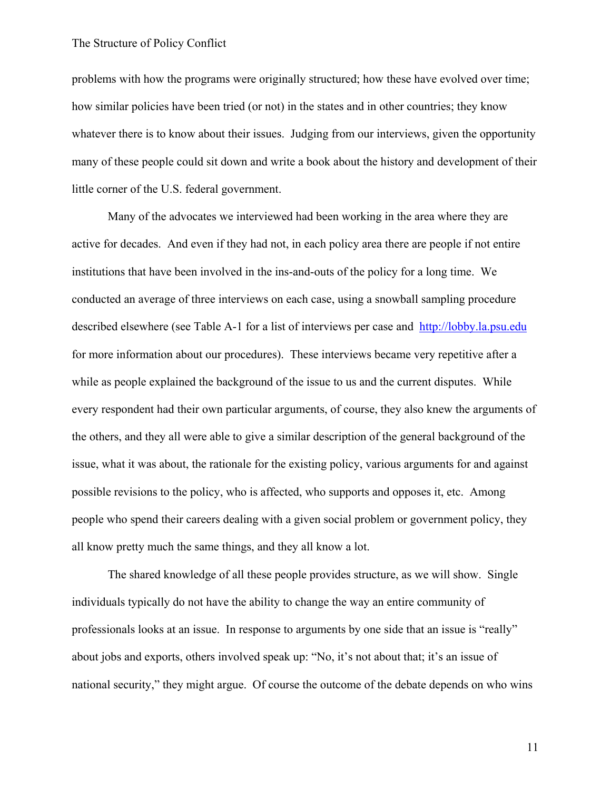problems with how the programs were originally structured; how these have evolved over time; how similar policies have been tried (or not) in the states and in other countries; they know whatever there is to know about their issues. Judging from our interviews, given the opportunity many of these people could sit down and write a book about the history and development of their little corner of the U.S. federal government.

Many of the advocates we interviewed had been working in the area where they are active for decades. And even if they had not, in each policy area there are people if not entire institutions that have been involved in the ins-and-outs of the policy for a long time. We conducted an average of three interviews on each case, using a snowball sampling procedure described elsewhere (see Table A-1 for a list of interviews per case and http://lobby.la.psu.edu for more information about our procedures). These interviews became very repetitive after a while as people explained the background of the issue to us and the current disputes. While every respondent had their own particular arguments, of course, they also knew the arguments of the others, and they all were able to give a similar description of the general background of the issue, what it was about, the rationale for the existing policy, various arguments for and against possible revisions to the policy, who is affected, who supports and opposes it, etc. Among people who spend their careers dealing with a given social problem or government policy, they all know pretty much the same things, and they all know a lot.

The shared knowledge of all these people provides structure, as we will show. Single individuals typically do not have the ability to change the way an entire community of professionals looks at an issue. In response to arguments by one side that an issue is "really" about jobs and exports, others involved speak up: "No, it's not about that; it's an issue of national security," they might argue. Of course the outcome of the debate depends on who wins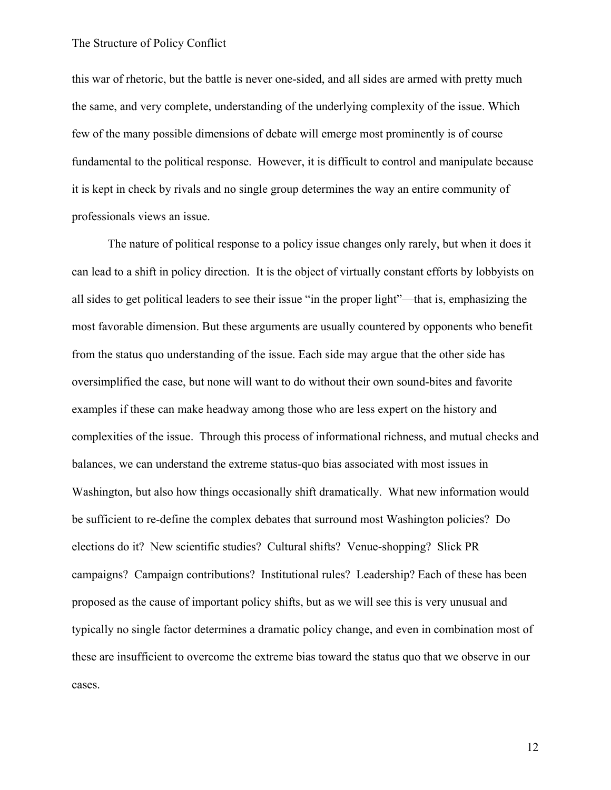this war of rhetoric, but the battle is never one-sided, and all sides are armed with pretty much the same, and very complete, understanding of the underlying complexity of the issue. Which few of the many possible dimensions of debate will emerge most prominently is of course fundamental to the political response. However, it is difficult to control and manipulate because it is kept in check by rivals and no single group determines the way an entire community of professionals views an issue.

The nature of political response to a policy issue changes only rarely, but when it does it can lead to a shift in policy direction. It is the object of virtually constant efforts by lobbyists on all sides to get political leaders to see their issue "in the proper light"—that is, emphasizing the most favorable dimension. But these arguments are usually countered by opponents who benefit from the status quo understanding of the issue. Each side may argue that the other side has oversimplified the case, but none will want to do without their own sound-bites and favorite examples if these can make headway among those who are less expert on the history and complexities of the issue. Through this process of informational richness, and mutual checks and balances, we can understand the extreme status-quo bias associated with most issues in Washington, but also how things occasionally shift dramatically. What new information would be sufficient to re-define the complex debates that surround most Washington policies? Do elections do it? New scientific studies? Cultural shifts? Venue-shopping? Slick PR campaigns? Campaign contributions? Institutional rules? Leadership? Each of these has been proposed as the cause of important policy shifts, but as we will see this is very unusual and typically no single factor determines a dramatic policy change, and even in combination most of these are insufficient to overcome the extreme bias toward the status quo that we observe in our cases.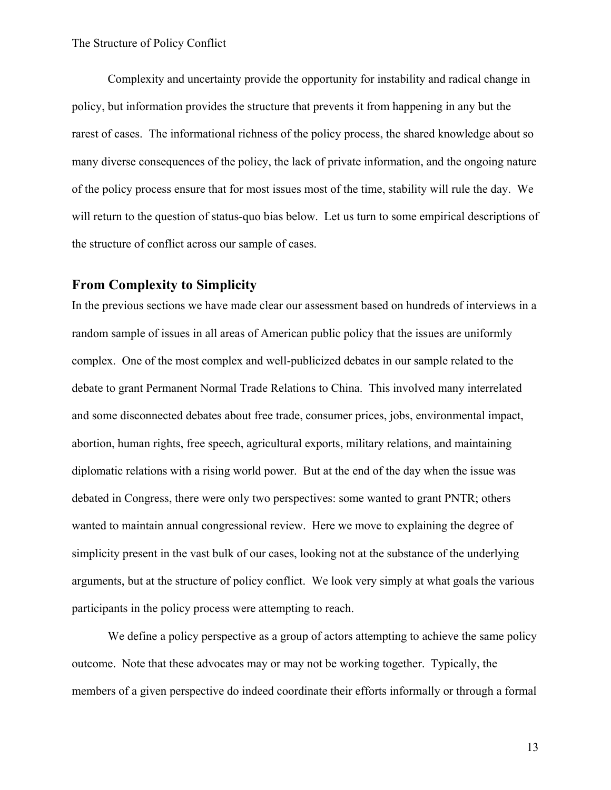Complexity and uncertainty provide the opportunity for instability and radical change in policy, but information provides the structure that prevents it from happening in any but the rarest of cases. The informational richness of the policy process, the shared knowledge about so many diverse consequences of the policy, the lack of private information, and the ongoing nature of the policy process ensure that for most issues most of the time, stability will rule the day. We will return to the question of status-quo bias below. Let us turn to some empirical descriptions of the structure of conflict across our sample of cases.

# **From Complexity to Simplicity**

In the previous sections we have made clear our assessment based on hundreds of interviews in a random sample of issues in all areas of American public policy that the issues are uniformly complex. One of the most complex and well-publicized debates in our sample related to the debate to grant Permanent Normal Trade Relations to China. This involved many interrelated and some disconnected debates about free trade, consumer prices, jobs, environmental impact, abortion, human rights, free speech, agricultural exports, military relations, and maintaining diplomatic relations with a rising world power. But at the end of the day when the issue was debated in Congress, there were only two perspectives: some wanted to grant PNTR; others wanted to maintain annual congressional review. Here we move to explaining the degree of simplicity present in the vast bulk of our cases, looking not at the substance of the underlying arguments, but at the structure of policy conflict. We look very simply at what goals the various participants in the policy process were attempting to reach.

We define a policy perspective as a group of actors attempting to achieve the same policy outcome. Note that these advocates may or may not be working together. Typically, the members of a given perspective do indeed coordinate their efforts informally or through a formal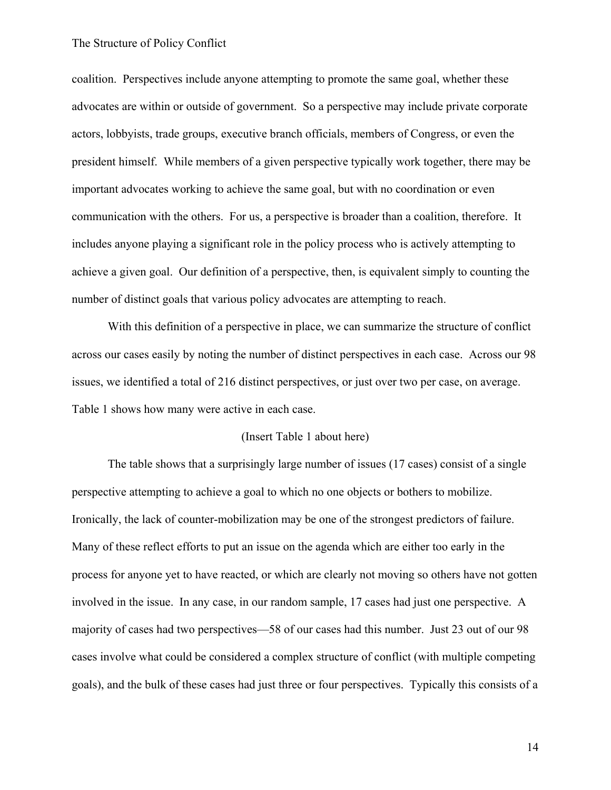coalition. Perspectives include anyone attempting to promote the same goal, whether these advocates are within or outside of government. So a perspective may include private corporate actors, lobbyists, trade groups, executive branch officials, members of Congress, or even the president himself. While members of a given perspective typically work together, there may be important advocates working to achieve the same goal, but with no coordination or even communication with the others. For us, a perspective is broader than a coalition, therefore. It includes anyone playing a significant role in the policy process who is actively attempting to achieve a given goal. Our definition of a perspective, then, is equivalent simply to counting the number of distinct goals that various policy advocates are attempting to reach.

With this definition of a perspective in place, we can summarize the structure of conflict across our cases easily by noting the number of distinct perspectives in each case. Across our 98 issues, we identified a total of 216 distinct perspectives, or just over two per case, on average. Table 1 shows how many were active in each case.

#### (Insert Table 1 about here)

The table shows that a surprisingly large number of issues (17 cases) consist of a single perspective attempting to achieve a goal to which no one objects or bothers to mobilize. Ironically, the lack of counter-mobilization may be one of the strongest predictors of failure. Many of these reflect efforts to put an issue on the agenda which are either too early in the process for anyone yet to have reacted, or which are clearly not moving so others have not gotten involved in the issue. In any case, in our random sample, 17 cases had just one perspective. A majority of cases had two perspectives—58 of our cases had this number. Just 23 out of our 98 cases involve what could be considered a complex structure of conflict (with multiple competing goals), and the bulk of these cases had just three or four perspectives. Typically this consists of a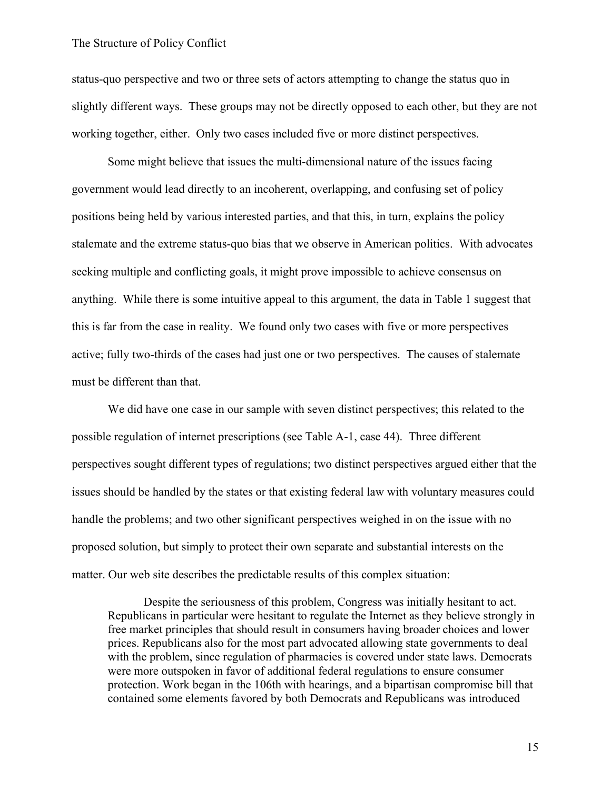status-quo perspective and two or three sets of actors attempting to change the status quo in slightly different ways. These groups may not be directly opposed to each other, but they are not working together, either. Only two cases included five or more distinct perspectives.

Some might believe that issues the multi-dimensional nature of the issues facing government would lead directly to an incoherent, overlapping, and confusing set of policy positions being held by various interested parties, and that this, in turn, explains the policy stalemate and the extreme status-quo bias that we observe in American politics. With advocates seeking multiple and conflicting goals, it might prove impossible to achieve consensus on anything. While there is some intuitive appeal to this argument, the data in Table 1 suggest that this is far from the case in reality. We found only two cases with five or more perspectives active; fully two-thirds of the cases had just one or two perspectives. The causes of stalemate must be different than that.

We did have one case in our sample with seven distinct perspectives; this related to the possible regulation of internet prescriptions (see Table A-1, case 44). Three different perspectives sought different types of regulations; two distinct perspectives argued either that the issues should be handled by the states or that existing federal law with voluntary measures could handle the problems; and two other significant perspectives weighed in on the issue with no proposed solution, but simply to protect their own separate and substantial interests on the matter. Our web site describes the predictable results of this complex situation:

Despite the seriousness of this problem, Congress was initially hesitant to act. Republicans in particular were hesitant to regulate the Internet as they believe strongly in free market principles that should result in consumers having broader choices and lower prices. Republicans also for the most part advocated allowing state governments to deal with the problem, since regulation of pharmacies is covered under state laws. Democrats were more outspoken in favor of additional federal regulations to ensure consumer protection. Work began in the 106th with hearings, and a bipartisan compromise bill that contained some elements favored by both Democrats and Republicans was introduced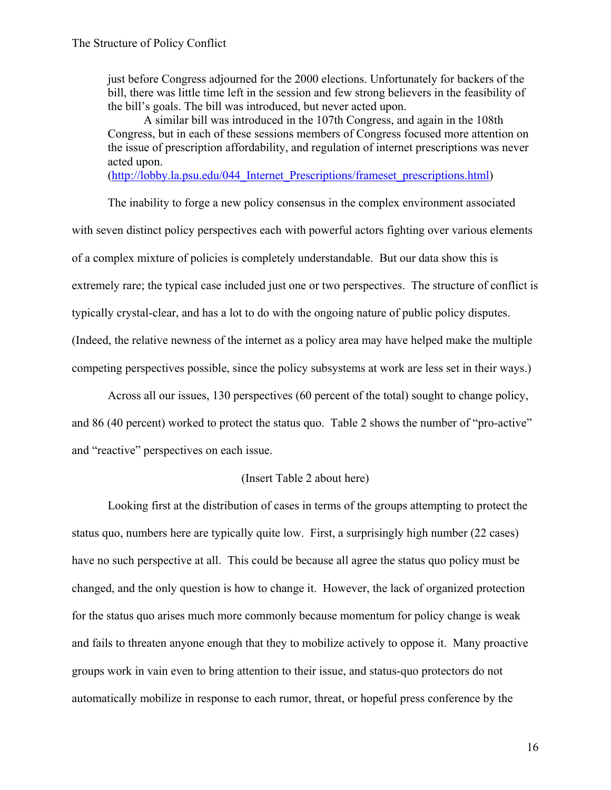just before Congress adjourned for the 2000 elections. Unfortunately for backers of the bill, there was little time left in the session and few strong believers in the feasibility of the bill's goals. The bill was introduced, but never acted upon.

A similar bill was introduced in the 107th Congress, and again in the 108th Congress, but in each of these sessions members of Congress focused more attention on the issue of prescription affordability, and regulation of internet prescriptions was never acted upon.

(http://lobby.la.psu.edu/044\_Internet\_Prescriptions/frameset\_prescriptions.html)

The inability to forge a new policy consensus in the complex environment associated with seven distinct policy perspectives each with powerful actors fighting over various elements of a complex mixture of policies is completely understandable. But our data show this is extremely rare; the typical case included just one or two perspectives. The structure of conflict is typically crystal-clear, and has a lot to do with the ongoing nature of public policy disputes. (Indeed, the relative newness of the internet as a policy area may have helped make the multiple competing perspectives possible, since the policy subsystems at work are less set in their ways.)

Across all our issues, 130 perspectives (60 percent of the total) sought to change policy, and 86 (40 percent) worked to protect the status quo. Table 2 shows the number of "pro-active" and "reactive" perspectives on each issue.

# (Insert Table 2 about here)

Looking first at the distribution of cases in terms of the groups attempting to protect the status quo, numbers here are typically quite low. First, a surprisingly high number (22 cases) have no such perspective at all. This could be because all agree the status quo policy must be changed, and the only question is how to change it. However, the lack of organized protection for the status quo arises much more commonly because momentum for policy change is weak and fails to threaten anyone enough that they to mobilize actively to oppose it. Many proactive groups work in vain even to bring attention to their issue, and status-quo protectors do not automatically mobilize in response to each rumor, threat, or hopeful press conference by the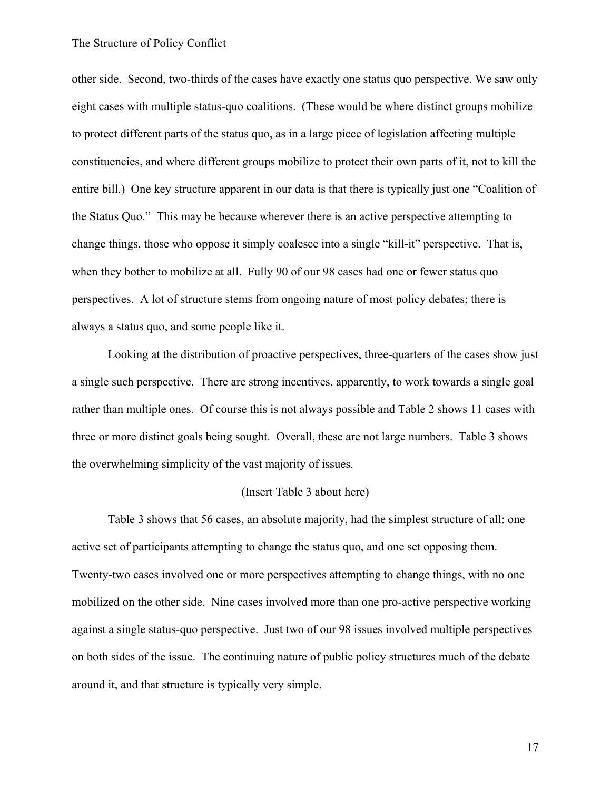other side. Second, two-thirds of the cases have exactly one status quo perspective. We saw only eight cases with multiple status-quo coalitions. (These would be where distinct groups mobilize to protect different parts of the status quo, as in a large piece of legislation affecting multiple constituencies, and where different groups mobilize to protect their own parts of it, not to kill the entire bill.) One key structure apparent in our data is that there is typically just one "Coalition of the Status Quo." This may be because wherever there is an active perspective attempting to change things, those who oppose it simply coalesce into a single "kill-it" perspective. That is, when they bother to mobilize at all. Fully 90 of our 98 cases had one or fewer status quo perspectives. A lot of structure stems from ongoing nature of most policy debates; there is always a status quo, and some people like it.

Looking at the distribution of proactive perspectives, three-quarters of the cases show just a single such perspective. There are strong incentives, apparently, to work towards a single goal rather than multiple ones. Of course this is not always possible and Table 2 shows 11 cases with three or more distinct goals being sought. Overall, these are not large numbers. Table 3 shows the overwhelming simplicity of the vast majority of issues.

#### (Insert Table 3 about here)

Table 3 shows that 56 cases, an absolute majority, had the simplest structure of all: one active set of participants attempting to change the status quo, and one set opposing them. Twenty-two cases involved one or more perspectives attempting to change things, with no one mobilized on the other side. Nine cases involved more than one pro-active perspective working against a single status-quo perspective. Just two of our 98 issues involved multiple perspectives on both sides of the issue. The continuing nature of public policy structures much of the debate around it, and that structure is typically very simple.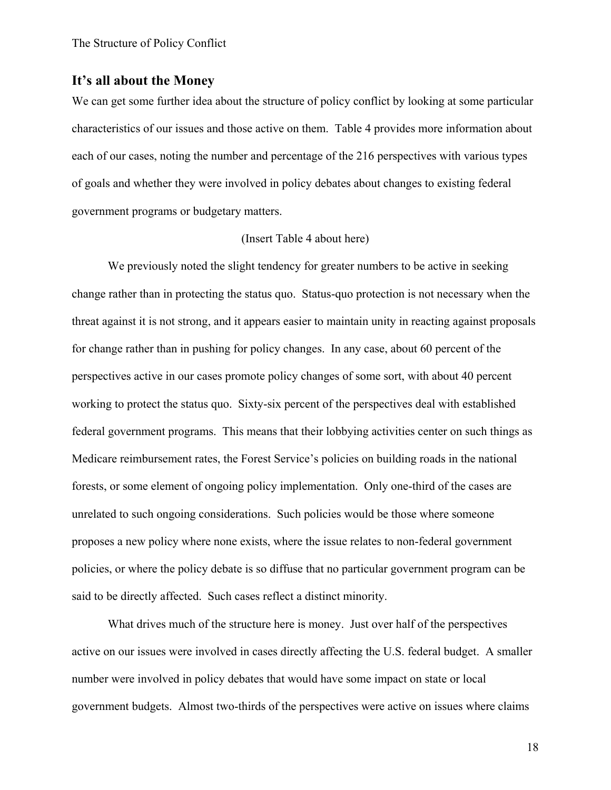# **It's all about the Money**

We can get some further idea about the structure of policy conflict by looking at some particular characteristics of our issues and those active on them. Table 4 provides more information about each of our cases, noting the number and percentage of the 216 perspectives with various types of goals and whether they were involved in policy debates about changes to existing federal government programs or budgetary matters.

#### (Insert Table 4 about here)

We previously noted the slight tendency for greater numbers to be active in seeking change rather than in protecting the status quo. Status-quo protection is not necessary when the threat against it is not strong, and it appears easier to maintain unity in reacting against proposals for change rather than in pushing for policy changes. In any case, about 60 percent of the perspectives active in our cases promote policy changes of some sort, with about 40 percent working to protect the status quo. Sixty-six percent of the perspectives deal with established federal government programs. This means that their lobbying activities center on such things as Medicare reimbursement rates, the Forest Service's policies on building roads in the national forests, or some element of ongoing policy implementation. Only one-third of the cases are unrelated to such ongoing considerations. Such policies would be those where someone proposes a new policy where none exists, where the issue relates to non-federal government policies, or where the policy debate is so diffuse that no particular government program can be said to be directly affected. Such cases reflect a distinct minority.

What drives much of the structure here is money. Just over half of the perspectives active on our issues were involved in cases directly affecting the U.S. federal budget. A smaller number were involved in policy debates that would have some impact on state or local government budgets. Almost two-thirds of the perspectives were active on issues where claims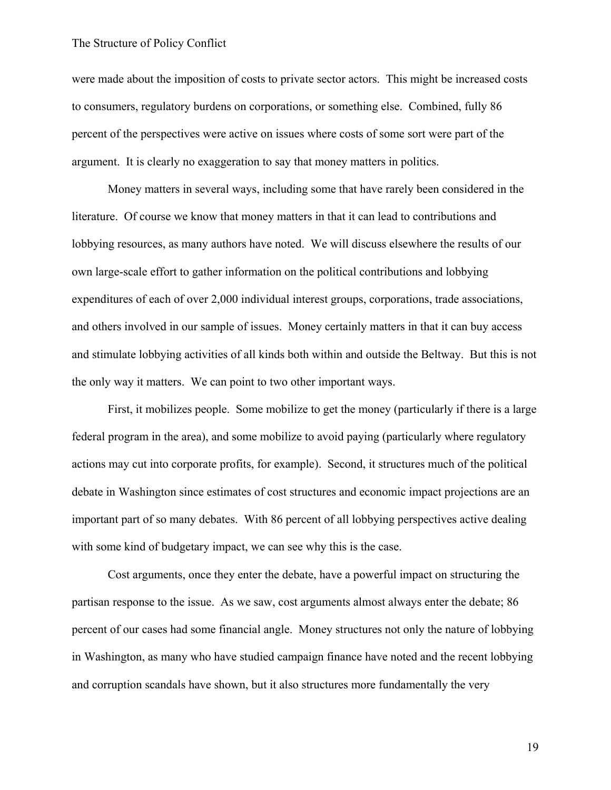were made about the imposition of costs to private sector actors. This might be increased costs to consumers, regulatory burdens on corporations, or something else. Combined, fully 86 percent of the perspectives were active on issues where costs of some sort were part of the argument. It is clearly no exaggeration to say that money matters in politics.

Money matters in several ways, including some that have rarely been considered in the literature. Of course we know that money matters in that it can lead to contributions and lobbying resources, as many authors have noted. We will discuss elsewhere the results of our own large-scale effort to gather information on the political contributions and lobbying expenditures of each of over 2,000 individual interest groups, corporations, trade associations, and others involved in our sample of issues. Money certainly matters in that it can buy access and stimulate lobbying activities of all kinds both within and outside the Beltway. But this is not the only way it matters. We can point to two other important ways.

First, it mobilizes people. Some mobilize to get the money (particularly if there is a large federal program in the area), and some mobilize to avoid paying (particularly where regulatory actions may cut into corporate profits, for example). Second, it structures much of the political debate in Washington since estimates of cost structures and economic impact projections are an important part of so many debates. With 86 percent of all lobbying perspectives active dealing with some kind of budgetary impact, we can see why this is the case.

Cost arguments, once they enter the debate, have a powerful impact on structuring the partisan response to the issue. As we saw, cost arguments almost always enter the debate; 86 percent of our cases had some financial angle. Money structures not only the nature of lobbying in Washington, as many who have studied campaign finance have noted and the recent lobbying and corruption scandals have shown, but it also structures more fundamentally the very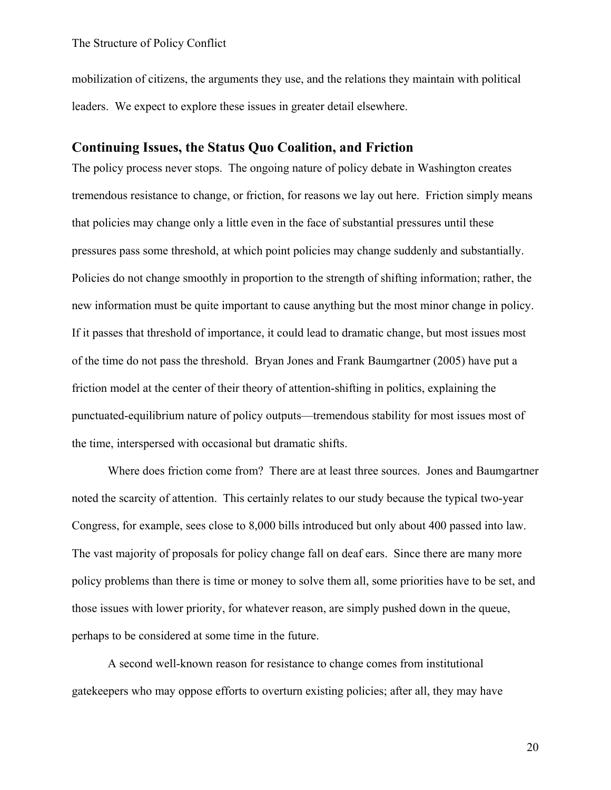mobilization of citizens, the arguments they use, and the relations they maintain with political leaders. We expect to explore these issues in greater detail elsewhere.

# **Continuing Issues, the Status Quo Coalition, and Friction**

The policy process never stops. The ongoing nature of policy debate in Washington creates tremendous resistance to change, or friction, for reasons we lay out here. Friction simply means that policies may change only a little even in the face of substantial pressures until these pressures pass some threshold, at which point policies may change suddenly and substantially. Policies do not change smoothly in proportion to the strength of shifting information; rather, the new information must be quite important to cause anything but the most minor change in policy. If it passes that threshold of importance, it could lead to dramatic change, but most issues most of the time do not pass the threshold. Bryan Jones and Frank Baumgartner (2005) have put a friction model at the center of their theory of attention-shifting in politics, explaining the punctuated-equilibrium nature of policy outputs—tremendous stability for most issues most of the time, interspersed with occasional but dramatic shifts.

Where does friction come from? There are at least three sources. Jones and Baumgartner noted the scarcity of attention. This certainly relates to our study because the typical two-year Congress, for example, sees close to 8,000 bills introduced but only about 400 passed into law. The vast majority of proposals for policy change fall on deaf ears. Since there are many more policy problems than there is time or money to solve them all, some priorities have to be set, and those issues with lower priority, for whatever reason, are simply pushed down in the queue, perhaps to be considered at some time in the future.

A second well-known reason for resistance to change comes from institutional gatekeepers who may oppose efforts to overturn existing policies; after all, they may have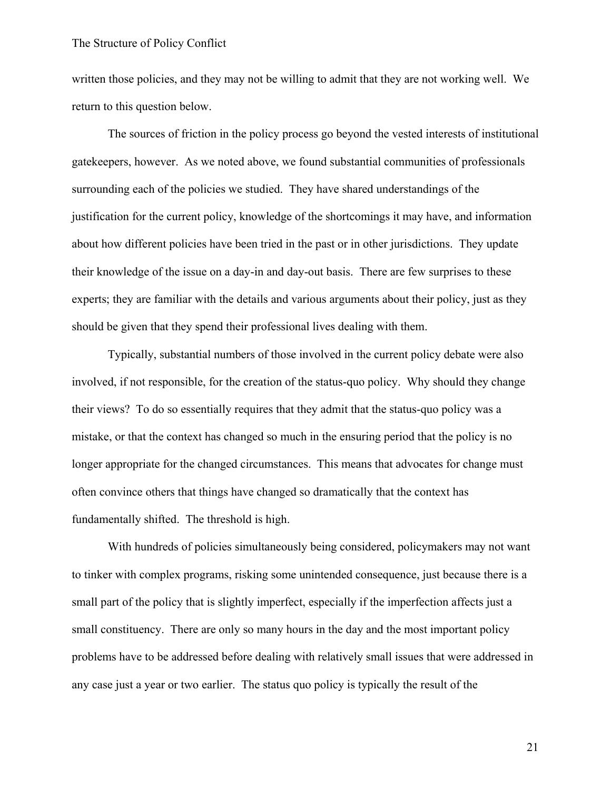written those policies, and they may not be willing to admit that they are not working well. We return to this question below.

The sources of friction in the policy process go beyond the vested interests of institutional gatekeepers, however. As we noted above, we found substantial communities of professionals surrounding each of the policies we studied. They have shared understandings of the justification for the current policy, knowledge of the shortcomings it may have, and information about how different policies have been tried in the past or in other jurisdictions. They update their knowledge of the issue on a day-in and day-out basis. There are few surprises to these experts; they are familiar with the details and various arguments about their policy, just as they should be given that they spend their professional lives dealing with them.

Typically, substantial numbers of those involved in the current policy debate were also involved, if not responsible, for the creation of the status-quo policy. Why should they change their views? To do so essentially requires that they admit that the status-quo policy was a mistake, or that the context has changed so much in the ensuring period that the policy is no longer appropriate for the changed circumstances. This means that advocates for change must often convince others that things have changed so dramatically that the context has fundamentally shifted. The threshold is high.

With hundreds of policies simultaneously being considered, policymakers may not want to tinker with complex programs, risking some unintended consequence, just because there is a small part of the policy that is slightly imperfect, especially if the imperfection affects just a small constituency. There are only so many hours in the day and the most important policy problems have to be addressed before dealing with relatively small issues that were addressed in any case just a year or two earlier. The status quo policy is typically the result of the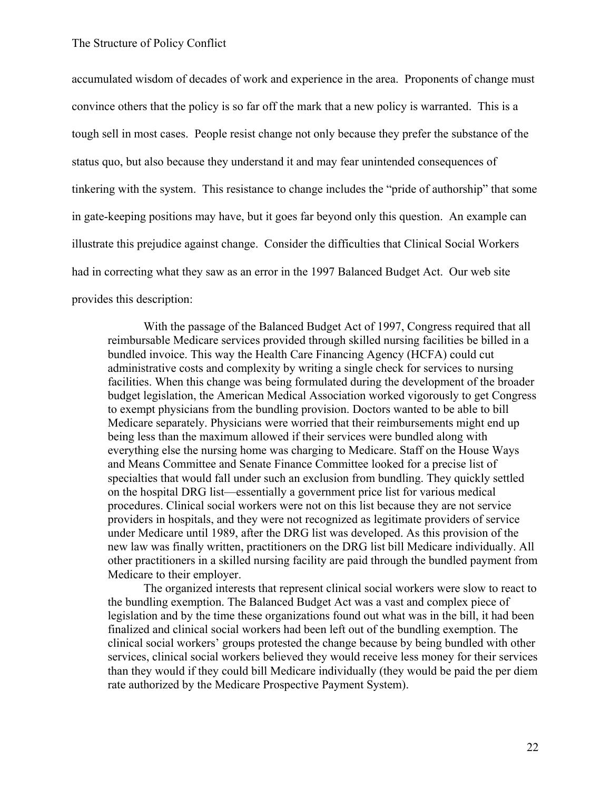accumulated wisdom of decades of work and experience in the area. Proponents of change must convince others that the policy is so far off the mark that a new policy is warranted. This is a tough sell in most cases. People resist change not only because they prefer the substance of the status quo, but also because they understand it and may fear unintended consequences of tinkering with the system. This resistance to change includes the "pride of authorship" that some in gate-keeping positions may have, but it goes far beyond only this question. An example can illustrate this prejudice against change. Consider the difficulties that Clinical Social Workers had in correcting what they saw as an error in the 1997 Balanced Budget Act. Our web site provides this description:

With the passage of the Balanced Budget Act of 1997, Congress required that all reimbursable Medicare services provided through skilled nursing facilities be billed in a bundled invoice. This way the Health Care Financing Agency (HCFA) could cut administrative costs and complexity by writing a single check for services to nursing facilities. When this change was being formulated during the development of the broader budget legislation, the American Medical Association worked vigorously to get Congress to exempt physicians from the bundling provision. Doctors wanted to be able to bill Medicare separately. Physicians were worried that their reimbursements might end up being less than the maximum allowed if their services were bundled along with everything else the nursing home was charging to Medicare. Staff on the House Ways and Means Committee and Senate Finance Committee looked for a precise list of specialties that would fall under such an exclusion from bundling. They quickly settled on the hospital DRG list—essentially a government price list for various medical procedures. Clinical social workers were not on this list because they are not service providers in hospitals, and they were not recognized as legitimate providers of service under Medicare until 1989, after the DRG list was developed. As this provision of the new law was finally written, practitioners on the DRG list bill Medicare individually. All other practitioners in a skilled nursing facility are paid through the bundled payment from Medicare to their employer.

The organized interests that represent clinical social workers were slow to react to the bundling exemption. The Balanced Budget Act was a vast and complex piece of legislation and by the time these organizations found out what was in the bill, it had been finalized and clinical social workers had been left out of the bundling exemption. The clinical social workers' groups protested the change because by being bundled with other services, clinical social workers believed they would receive less money for their services than they would if they could bill Medicare individually (they would be paid the per diem rate authorized by the Medicare Prospective Payment System).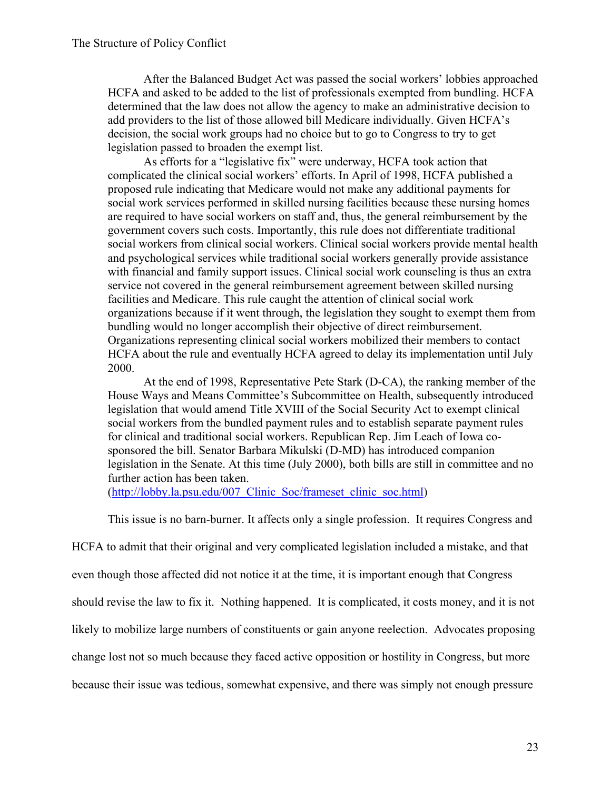After the Balanced Budget Act was passed the social workers' lobbies approached HCFA and asked to be added to the list of professionals exempted from bundling. HCFA determined that the law does not allow the agency to make an administrative decision to add providers to the list of those allowed bill Medicare individually. Given HCFA's decision, the social work groups had no choice but to go to Congress to try to get legislation passed to broaden the exempt list.

As efforts for a "legislative fix" were underway, HCFA took action that complicated the clinical social workers' efforts. In April of 1998, HCFA published a proposed rule indicating that Medicare would not make any additional payments for social work services performed in skilled nursing facilities because these nursing homes are required to have social workers on staff and, thus, the general reimbursement by the government covers such costs. Importantly, this rule does not differentiate traditional social workers from clinical social workers. Clinical social workers provide mental health and psychological services while traditional social workers generally provide assistance with financial and family support issues. Clinical social work counseling is thus an extra service not covered in the general reimbursement agreement between skilled nursing facilities and Medicare. This rule caught the attention of clinical social work organizations because if it went through, the legislation they sought to exempt them from bundling would no longer accomplish their objective of direct reimbursement. Organizations representing clinical social workers mobilized their members to contact HCFA about the rule and eventually HCFA agreed to delay its implementation until July 2000.

At the end of 1998, Representative Pete Stark (D-CA), the ranking member of the House Ways and Means Committee's Subcommittee on Health, subsequently introduced legislation that would amend Title XVIII of the Social Security Act to exempt clinical social workers from the bundled payment rules and to establish separate payment rules for clinical and traditional social workers. Republican Rep. Jim Leach of Iowa cosponsored the bill. Senator Barbara Mikulski (D-MD) has introduced companion legislation in the Senate. At this time (July 2000), both bills are still in committee and no further action has been taken.

(http://lobby.la.psu.edu/007\_Clinic\_Soc/frameset\_clinic\_soc.html)

This issue is no barn-burner. It affects only a single profession. It requires Congress and

HCFA to admit that their original and very complicated legislation included a mistake, and that

even though those affected did not notice it at the time, it is important enough that Congress

should revise the law to fix it. Nothing happened. It is complicated, it costs money, and it is not

likely to mobilize large numbers of constituents or gain anyone reelection. Advocates proposing

change lost not so much because they faced active opposition or hostility in Congress, but more

because their issue was tedious, somewhat expensive, and there was simply not enough pressure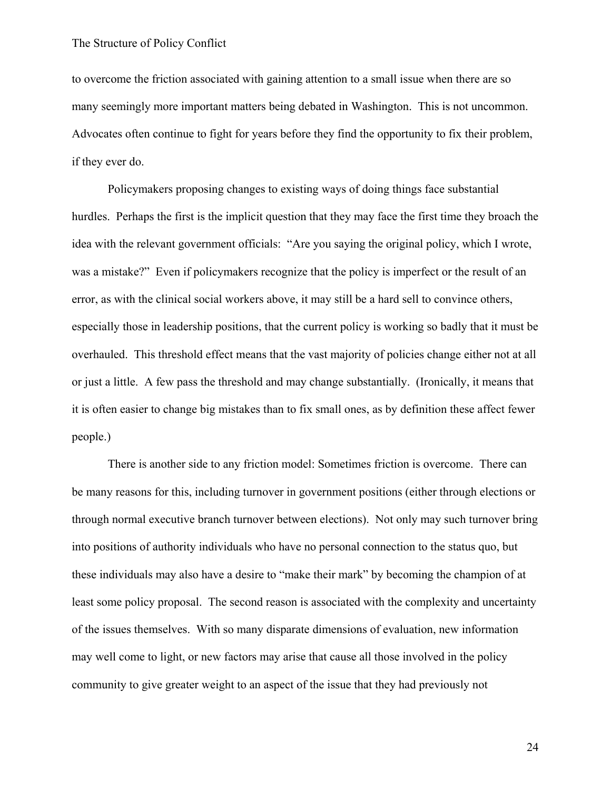to overcome the friction associated with gaining attention to a small issue when there are so many seemingly more important matters being debated in Washington. This is not uncommon. Advocates often continue to fight for years before they find the opportunity to fix their problem, if they ever do.

Policymakers proposing changes to existing ways of doing things face substantial hurdles. Perhaps the first is the implicit question that they may face the first time they broach the idea with the relevant government officials: "Are you saying the original policy, which I wrote, was a mistake?" Even if policymakers recognize that the policy is imperfect or the result of an error, as with the clinical social workers above, it may still be a hard sell to convince others, especially those in leadership positions, that the current policy is working so badly that it must be overhauled. This threshold effect means that the vast majority of policies change either not at all or just a little. A few pass the threshold and may change substantially. (Ironically, it means that it is often easier to change big mistakes than to fix small ones, as by definition these affect fewer people.)

There is another side to any friction model: Sometimes friction is overcome. There can be many reasons for this, including turnover in government positions (either through elections or through normal executive branch turnover between elections). Not only may such turnover bring into positions of authority individuals who have no personal connection to the status quo, but these individuals may also have a desire to "make their mark" by becoming the champion of at least some policy proposal. The second reason is associated with the complexity and uncertainty of the issues themselves. With so many disparate dimensions of evaluation, new information may well come to light, or new factors may arise that cause all those involved in the policy community to give greater weight to an aspect of the issue that they had previously not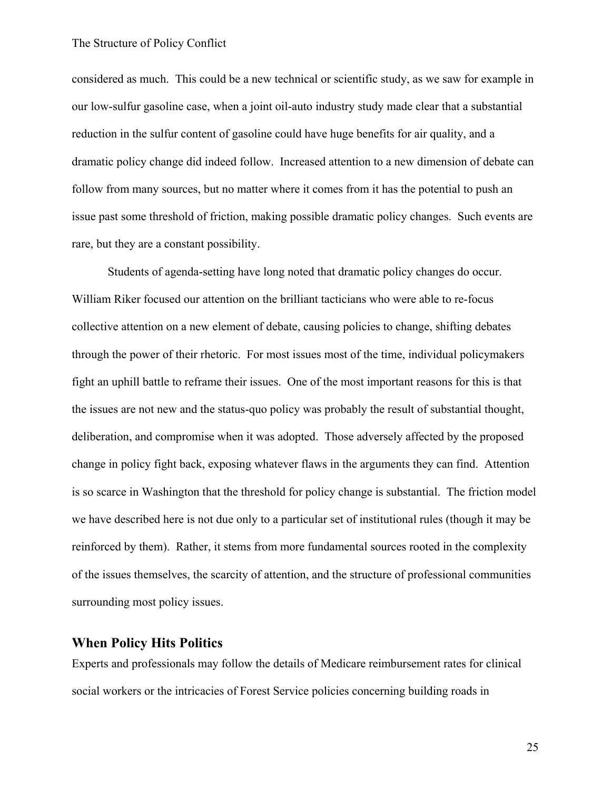considered as much. This could be a new technical or scientific study, as we saw for example in our low-sulfur gasoline case, when a joint oil-auto industry study made clear that a substantial reduction in the sulfur content of gasoline could have huge benefits for air quality, and a dramatic policy change did indeed follow. Increased attention to a new dimension of debate can follow from many sources, but no matter where it comes from it has the potential to push an issue past some threshold of friction, making possible dramatic policy changes. Such events are rare, but they are a constant possibility.

Students of agenda-setting have long noted that dramatic policy changes do occur. William Riker focused our attention on the brilliant tacticians who were able to re-focus collective attention on a new element of debate, causing policies to change, shifting debates through the power of their rhetoric. For most issues most of the time, individual policymakers fight an uphill battle to reframe their issues. One of the most important reasons for this is that the issues are not new and the status-quo policy was probably the result of substantial thought, deliberation, and compromise when it was adopted. Those adversely affected by the proposed change in policy fight back, exposing whatever flaws in the arguments they can find. Attention is so scarce in Washington that the threshold for policy change is substantial. The friction model we have described here is not due only to a particular set of institutional rules (though it may be reinforced by them). Rather, it stems from more fundamental sources rooted in the complexity of the issues themselves, the scarcity of attention, and the structure of professional communities surrounding most policy issues.

### **When Policy Hits Politics**

Experts and professionals may follow the details of Medicare reimbursement rates for clinical social workers or the intricacies of Forest Service policies concerning building roads in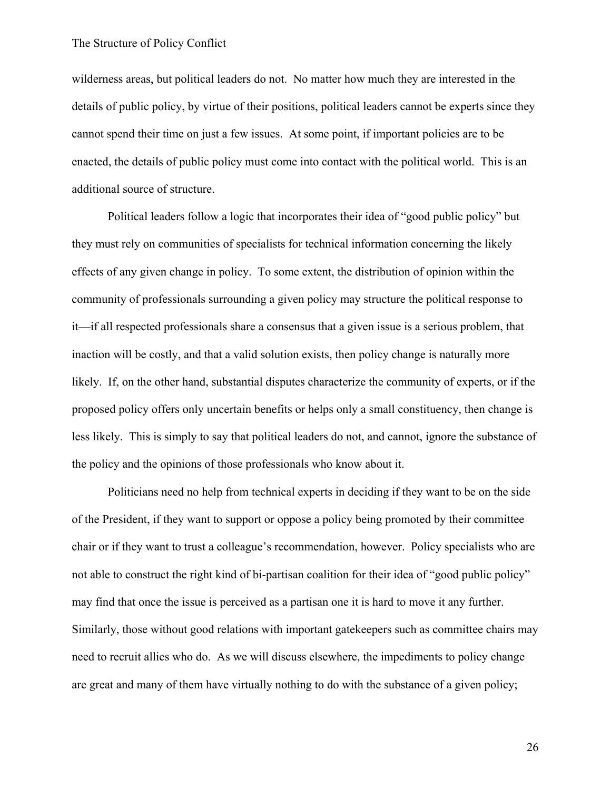wilderness areas, but political leaders do not. No matter how much they are interested in the details of public policy, by virtue of their positions, political leaders cannot be experts since they cannot spend their time on just a few issues. At some point, if important policies are to be enacted, the details of public policy must come into contact with the political world. This is an additional source of structure.

Political leaders follow a logic that incorporates their idea of "good public policy" but they must rely on communities of specialists for technical information concerning the likely effects of any given change in policy. To some extent, the distribution of opinion within the community of professionals surrounding a given policy may structure the political response to it—if all respected professionals share a consensus that a given issue is a serious problem, that inaction will be costly, and that a valid solution exists, then policy change is naturally more likely. If, on the other hand, substantial disputes characterize the community of experts, or if the proposed policy offers only uncertain benefits or helps only a small constituency, then change is less likely. This is simply to say that political leaders do not, and cannot, ignore the substance of the policy and the opinions of those professionals who know about it.

Politicians need no help from technical experts in deciding if they want to be on the side of the President, if they want to support or oppose a policy being promoted by their committee chair or if they want to trust a colleague's recommendation, however. Policy specialists who are not able to construct the right kind of bi-partisan coalition for their idea of "good public policy" may find that once the issue is perceived as a partisan one it is hard to move it any further. Similarly, those without good relations with important gatekeepers such as committee chairs may need to recruit allies who do. As we will discuss elsewhere, the impediments to policy change are great and many of them have virtually nothing to do with the substance of a given policy;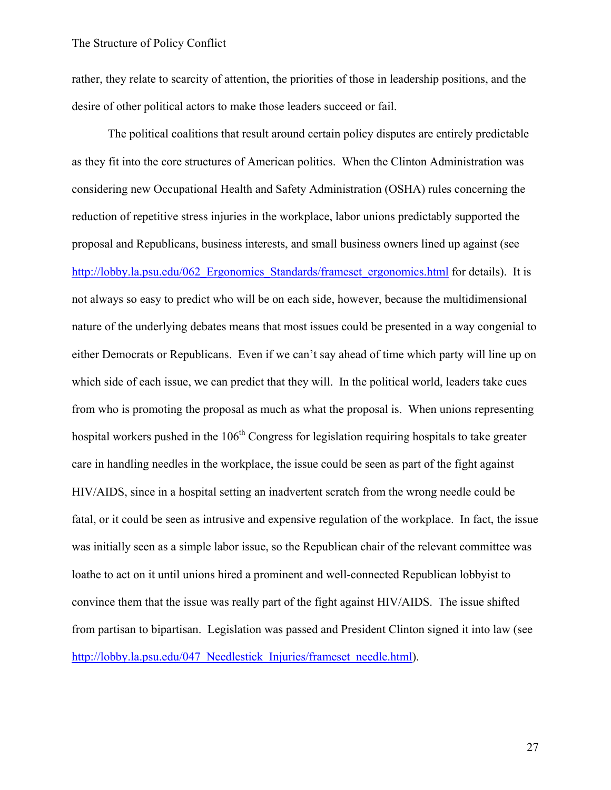rather, they relate to scarcity of attention, the priorities of those in leadership positions, and the desire of other political actors to make those leaders succeed or fail.

The political coalitions that result around certain policy disputes are entirely predictable as they fit into the core structures of American politics. When the Clinton Administration was considering new Occupational Health and Safety Administration (OSHA) rules concerning the reduction of repetitive stress injuries in the workplace, labor unions predictably supported the proposal and Republicans, business interests, and small business owners lined up against (see http://lobby.la.psu.edu/062 Ergonomics Standards/frameset ergonomics.html for details). It is not always so easy to predict who will be on each side, however, because the multidimensional nature of the underlying debates means that most issues could be presented in a way congenial to either Democrats or Republicans. Even if we can't say ahead of time which party will line up on which side of each issue, we can predict that they will. In the political world, leaders take cues from who is promoting the proposal as much as what the proposal is. When unions representing hospital workers pushed in the  $106<sup>th</sup>$  Congress for legislation requiring hospitals to take greater care in handling needles in the workplace, the issue could be seen as part of the fight against HIV/AIDS, since in a hospital setting an inadvertent scratch from the wrong needle could be fatal, or it could be seen as intrusive and expensive regulation of the workplace. In fact, the issue was initially seen as a simple labor issue, so the Republican chair of the relevant committee was loathe to act on it until unions hired a prominent and well-connected Republican lobbyist to convince them that the issue was really part of the fight against HIV/AIDS. The issue shifted from partisan to bipartisan. Legislation was passed and President Clinton signed it into law (see http://lobby.la.psu.edu/047 Needlestick Injuries/frameset needle.html).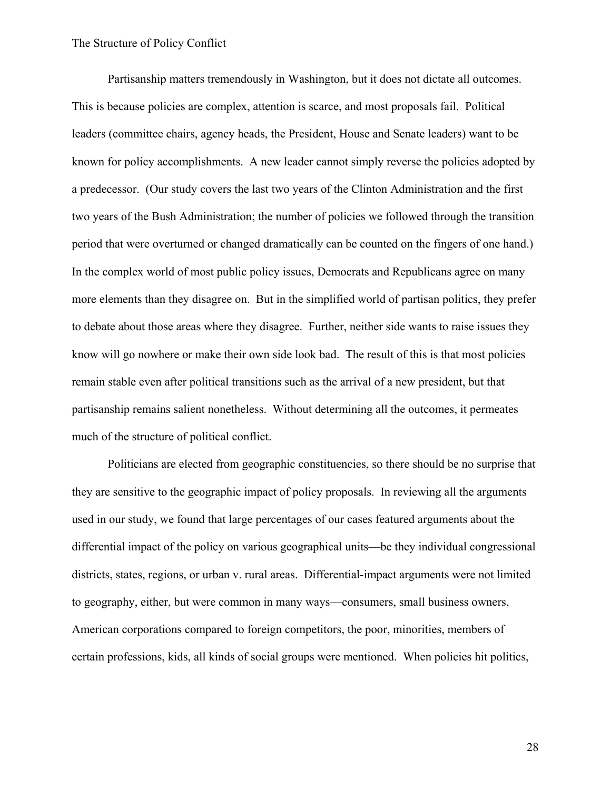Partisanship matters tremendously in Washington, but it does not dictate all outcomes. This is because policies are complex, attention is scarce, and most proposals fail. Political leaders (committee chairs, agency heads, the President, House and Senate leaders) want to be known for policy accomplishments. A new leader cannot simply reverse the policies adopted by a predecessor. (Our study covers the last two years of the Clinton Administration and the first two years of the Bush Administration; the number of policies we followed through the transition period that were overturned or changed dramatically can be counted on the fingers of one hand.) In the complex world of most public policy issues, Democrats and Republicans agree on many more elements than they disagree on. But in the simplified world of partisan politics, they prefer to debate about those areas where they disagree. Further, neither side wants to raise issues they know will go nowhere or make their own side look bad. The result of this is that most policies remain stable even after political transitions such as the arrival of a new president, but that partisanship remains salient nonetheless. Without determining all the outcomes, it permeates much of the structure of political conflict.

Politicians are elected from geographic constituencies, so there should be no surprise that they are sensitive to the geographic impact of policy proposals. In reviewing all the arguments used in our study, we found that large percentages of our cases featured arguments about the differential impact of the policy on various geographical units—be they individual congressional districts, states, regions, or urban v. rural areas. Differential-impact arguments were not limited to geography, either, but were common in many ways—consumers, small business owners, American corporations compared to foreign competitors, the poor, minorities, members of certain professions, kids, all kinds of social groups were mentioned. When policies hit politics,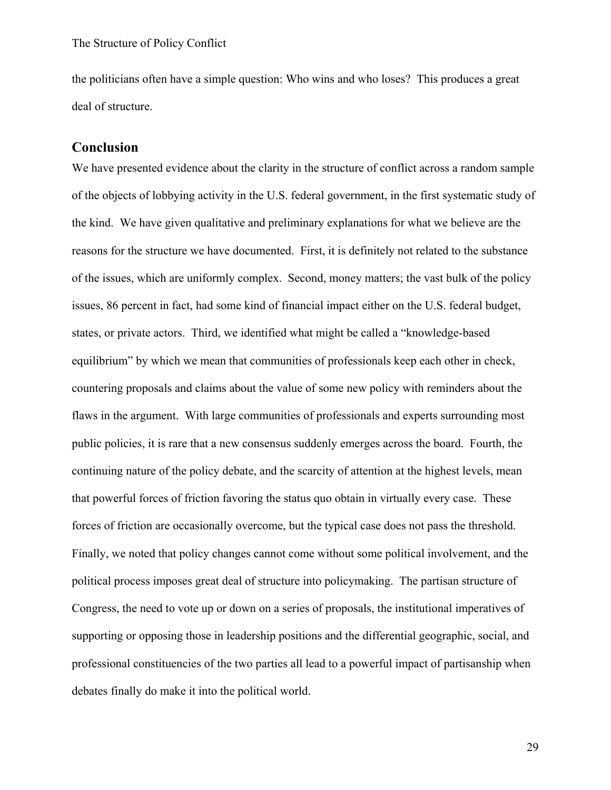the politicians often have a simple question: Who wins and who loses? This produces a great deal of structure.

# **Conclusion**

We have presented evidence about the clarity in the structure of conflict across a random sample of the objects of lobbying activity in the U.S. federal government, in the first systematic study of the kind. We have given qualitative and preliminary explanations for what we believe are the reasons for the structure we have documented. First, it is definitely not related to the substance of the issues, which are uniformly complex. Second, money matters; the vast bulk of the policy issues, 86 percent in fact, had some kind of financial impact either on the U.S. federal budget, states, or private actors. Third, we identified what might be called a "knowledge-based equilibrium" by which we mean that communities of professionals keep each other in check, countering proposals and claims about the value of some new policy with reminders about the flaws in the argument. With large communities of professionals and experts surrounding most public policies, it is rare that a new consensus suddenly emerges across the board. Fourth, the continuing nature of the policy debate, and the scarcity of attention at the highest levels, mean that powerful forces of friction favoring the status quo obtain in virtually every case. These forces of friction are occasionally overcome, but the typical case does not pass the threshold. Finally, we noted that policy changes cannot come without some political involvement, and the political process imposes great deal of structure into policymaking. The partisan structure of Congress, the need to vote up or down on a series of proposals, the institutional imperatives of supporting or opposing those in leadership positions and the differential geographic, social, and professional constituencies of the two parties all lead to a powerful impact of partisanship when debates finally do make it into the political world.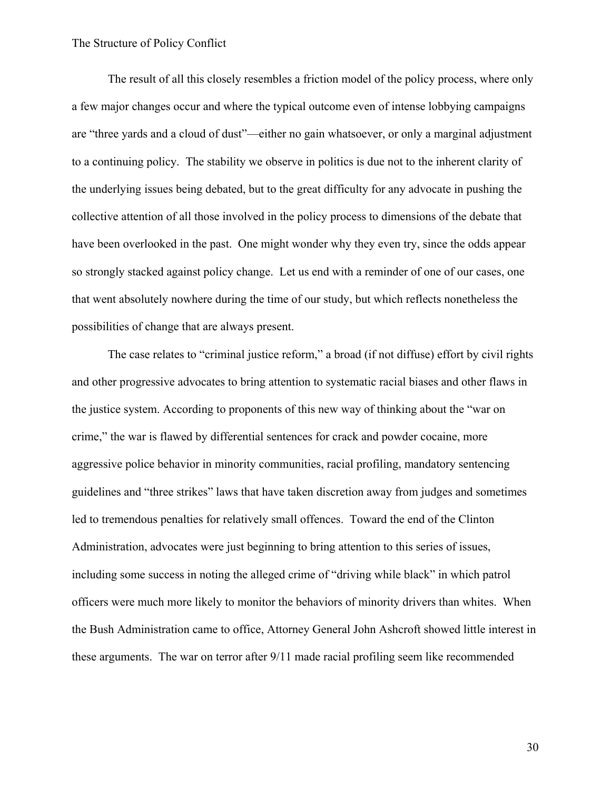The result of all this closely resembles a friction model of the policy process, where only a few major changes occur and where the typical outcome even of intense lobbying campaigns are "three yards and a cloud of dust"—either no gain whatsoever, or only a marginal adjustment to a continuing policy. The stability we observe in politics is due not to the inherent clarity of the underlying issues being debated, but to the great difficulty for any advocate in pushing the collective attention of all those involved in the policy process to dimensions of the debate that have been overlooked in the past. One might wonder why they even try, since the odds appear so strongly stacked against policy change. Let us end with a reminder of one of our cases, one that went absolutely nowhere during the time of our study, but which reflects nonetheless the possibilities of change that are always present.

The case relates to "criminal justice reform," a broad (if not diffuse) effort by civil rights and other progressive advocates to bring attention to systematic racial biases and other flaws in the justice system. According to proponents of this new way of thinking about the "war on crime," the war is flawed by differential sentences for crack and powder cocaine, more aggressive police behavior in minority communities, racial profiling, mandatory sentencing guidelines and "three strikes" laws that have taken discretion away from judges and sometimes led to tremendous penalties for relatively small offences. Toward the end of the Clinton Administration, advocates were just beginning to bring attention to this series of issues, including some success in noting the alleged crime of "driving while black" in which patrol officers were much more likely to monitor the behaviors of minority drivers than whites. When the Bush Administration came to office, Attorney General John Ashcroft showed little interest in these arguments. The war on terror after 9/11 made racial profiling seem like recommended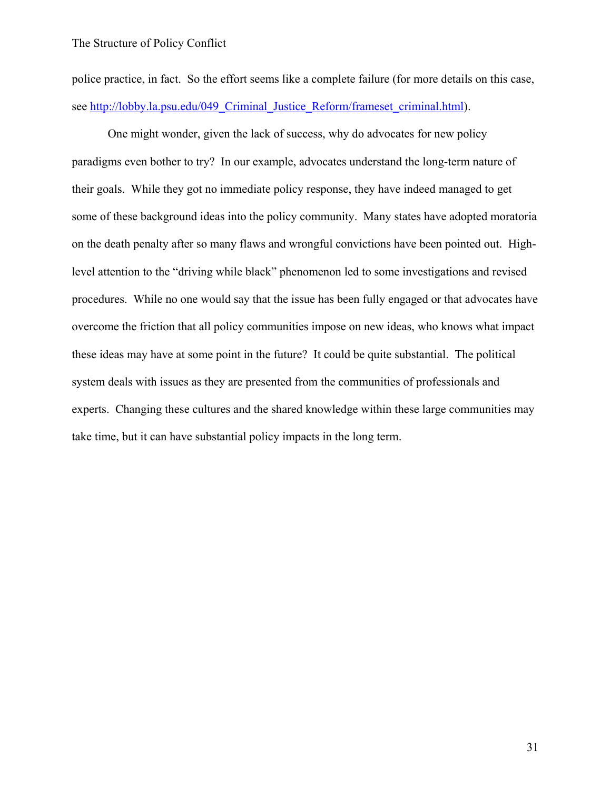police practice, in fact. So the effort seems like a complete failure (for more details on this case, see http://lobby.la.psu.edu/049 Criminal Justice Reform/frameset criminal.html).

One might wonder, given the lack of success, why do advocates for new policy paradigms even bother to try? In our example, advocates understand the long-term nature of their goals. While they got no immediate policy response, they have indeed managed to get some of these background ideas into the policy community. Many states have adopted moratoria on the death penalty after so many flaws and wrongful convictions have been pointed out. Highlevel attention to the "driving while black" phenomenon led to some investigations and revised procedures. While no one would say that the issue has been fully engaged or that advocates have overcome the friction that all policy communities impose on new ideas, who knows what impact these ideas may have at some point in the future? It could be quite substantial. The political system deals with issues as they are presented from the communities of professionals and experts. Changing these cultures and the shared knowledge within these large communities may take time, but it can have substantial policy impacts in the long term.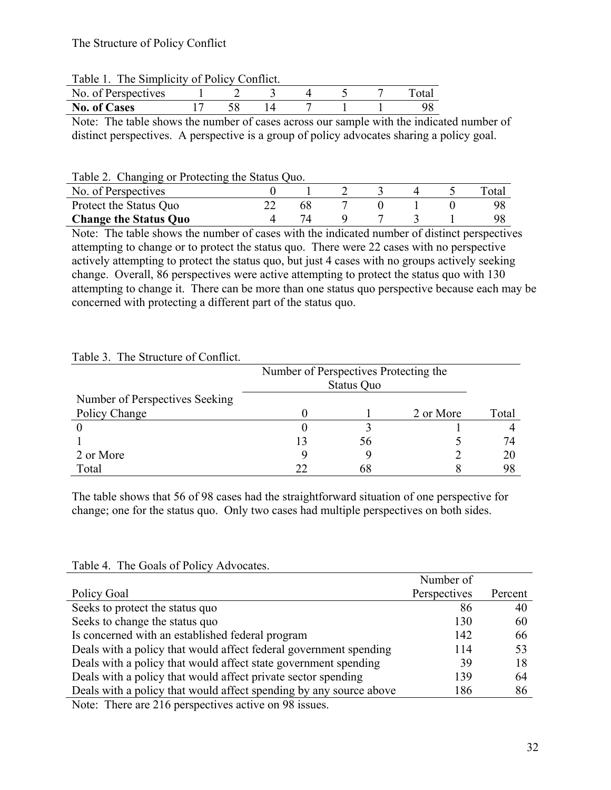#### Table 1. The Simplicity of Policy Conflict.

| f Perspectives<br>No. of |  |  |  |  |
|--------------------------|--|--|--|--|
| <b>No. of Cases</b>      |  |  |  |  |

Note: The table shows the number of cases across our sample with the indicated number of distinct perspectives. A perspective is a group of policy advocates sharing a policy goal.

#### Table 2. Changing or Protecting the Status Quo.

| No. of Perspectives          |  |  |  | ota. |
|------------------------------|--|--|--|------|
| Protect the Status Quo       |  |  |  |      |
| <b>Change the Status Quo</b> |  |  |  |      |

Note: The table shows the number of cases with the indicated number of distinct perspectives attempting to change or to protect the status quo. There were 22 cases with no perspective actively attempting to protect the status quo, but just 4 cases with no groups actively seeking change. Overall, 86 perspectives were active attempting to protect the status quo with 130 attempting to change it. There can be more than one status quo perspective because each may be concerned with protecting a different part of the status quo.

# Table 3. The Structure of Conflict.

|                                | Number of Perspectives Protecting the |    |           |       |
|--------------------------------|---------------------------------------|----|-----------|-------|
| Number of Perspectives Seeking |                                       |    |           |       |
| Policy Change                  |                                       |    | 2 or More | Total |
|                                |                                       |    |           |       |
|                                | 13                                    | 56 |           | 74    |
| 2 or More                      |                                       |    |           | 20    |
| Total                          | フフ                                    |    |           |       |

The table shows that 56 of 98 cases had the straightforward situation of one perspective for change; one for the status quo. Only two cases had multiple perspectives on both sides.

|                                                                    | Number of    |         |
|--------------------------------------------------------------------|--------------|---------|
| Policy Goal                                                        | Perspectives | Percent |
| Seeks to protect the status quo                                    | 86           | 40      |
| Seeks to change the status quo                                     | 130          | 60      |
| Is concerned with an established federal program                   | 142          | 66      |
| Deals with a policy that would affect federal government spending  | 114          | 53      |
| Deals with a policy that would affect state government spending    | 39           | 18      |
| Deals with a policy that would affect private sector spending      | 139          | 64      |
| Deals with a policy that would affect spending by any source above | 186          | 86      |
| Moto: There are 216 normaatives active on 00 issues                |              |         |

Table 4. The Goals of Policy Advocates.

Note: There are 216 perspectives active on 98 issues.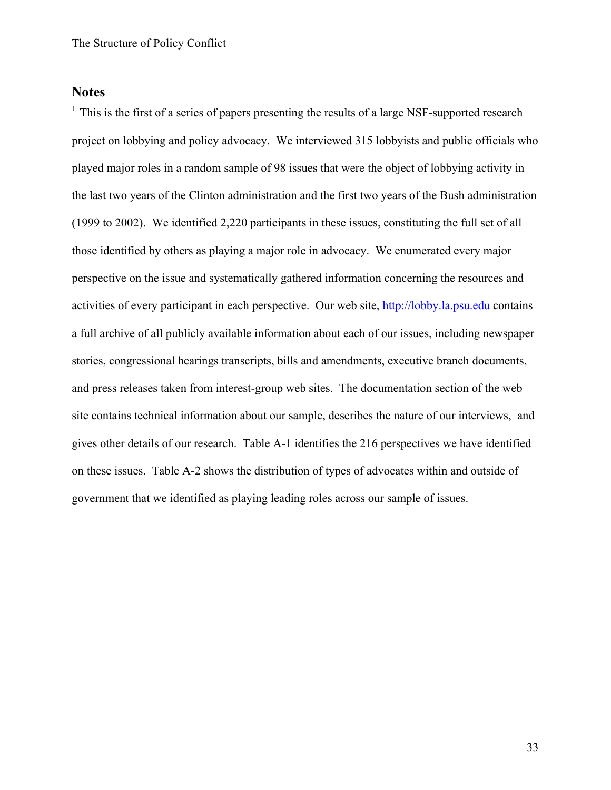### **Notes**

 $<sup>1</sup>$  This is the first of a series of papers presenting the results of a large NSF-supported research</sup> project on lobbying and policy advocacy. We interviewed 315 lobbyists and public officials who played major roles in a random sample of 98 issues that were the object of lobbying activity in the last two years of the Clinton administration and the first two years of the Bush administration (1999 to 2002). We identified 2,220 participants in these issues, constituting the full set of all those identified by others as playing a major role in advocacy. We enumerated every major perspective on the issue and systematically gathered information concerning the resources and activities of every participant in each perspective. Our web site, http://lobby.la.psu.edu contains a full archive of all publicly available information about each of our issues, including newspaper stories, congressional hearings transcripts, bills and amendments, executive branch documents, and press releases taken from interest-group web sites. The documentation section of the web site contains technical information about our sample, describes the nature of our interviews, and gives other details of our research. Table A-1 identifies the 216 perspectives we have identified on these issues. Table A-2 shows the distribution of types of advocates within and outside of government that we identified as playing leading roles across our sample of issues.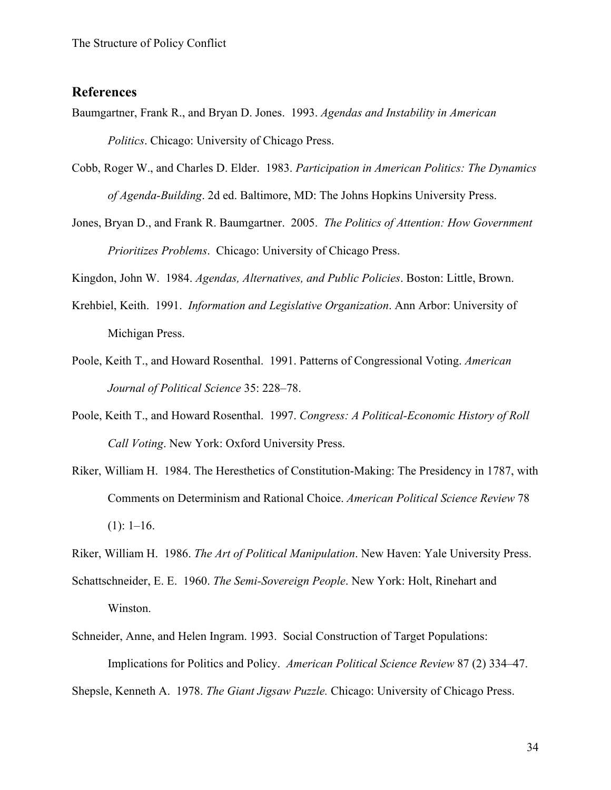# **References**

- Baumgartner, Frank R., and Bryan D. Jones. 1993. *Agendas and Instability in American Politics*. Chicago: University of Chicago Press.
- Cobb, Roger W., and Charles D. Elder. 1983. *Participation in American Politics: The Dynamics of Agenda-Building*. 2d ed. Baltimore, MD: The Johns Hopkins University Press.
- Jones, Bryan D., and Frank R. Baumgartner. 2005. *The Politics of Attention: How Government Prioritizes Problems*. Chicago: University of Chicago Press.

Kingdon, John W. 1984. *Agendas, Alternatives, and Public Policies*. Boston: Little, Brown.

- Krehbiel, Keith. 1991. *Information and Legislative Organization*. Ann Arbor: University of Michigan Press.
- Poole, Keith T., and Howard Rosenthal. 1991. Patterns of Congressional Voting. *American Journal of Political Science* 35: 228–78.
- Poole, Keith T., and Howard Rosenthal. 1997. *Congress: A Political-Economic History of Roll Call Voting*. New York: Oxford University Press.
- Riker, William H. 1984. The Heresthetics of Constitution-Making: The Presidency in 1787, with Comments on Determinism and Rational Choice. *American Political Science Review* 78  $(1): 1-16.$
- Riker, William H. 1986. *The Art of Political Manipulation*. New Haven: Yale University Press.
- Schattschneider, E. E. 1960. *The Semi-Sovereign People*. New York: Holt, Rinehart and Winston.
- Schneider, Anne, and Helen Ingram. 1993. Social Construction of Target Populations: Implications for Politics and Policy. *American Political Science Review* 87 (2) 334–47.

Shepsle, Kenneth A. 1978. *The Giant Jigsaw Puzzle.* Chicago: University of Chicago Press.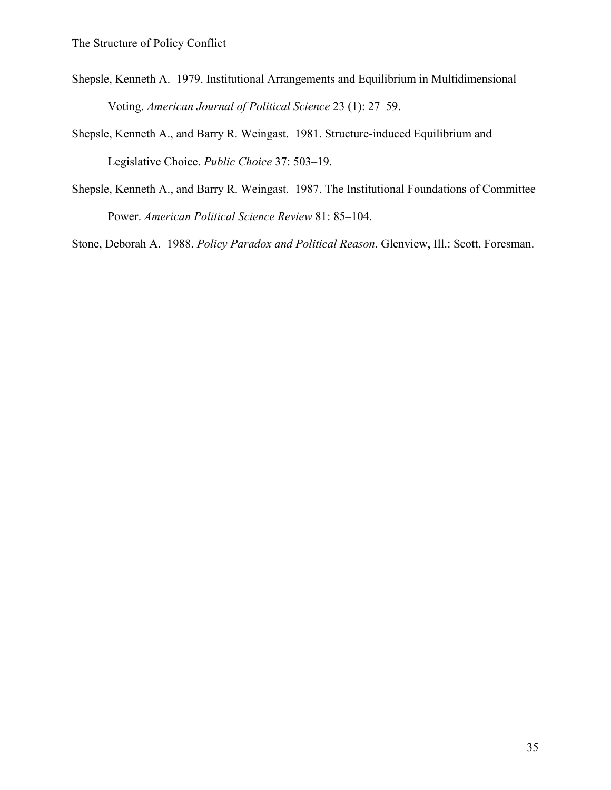- Shepsle, Kenneth A. 1979. Institutional Arrangements and Equilibrium in Multidimensional Voting. *American Journal of Political Science* 23 (1): 27–59.
- Shepsle, Kenneth A., and Barry R. Weingast. 1981. Structure-induced Equilibrium and Legislative Choice. *Public Choice* 37: 503–19.
- Shepsle, Kenneth A., and Barry R. Weingast. 1987. The Institutional Foundations of Committee Power. *American Political Science Review* 81: 85–104.

Stone, Deborah A. 1988. *Policy Paradox and Political Reason*. Glenview, Ill.: Scott, Foresman.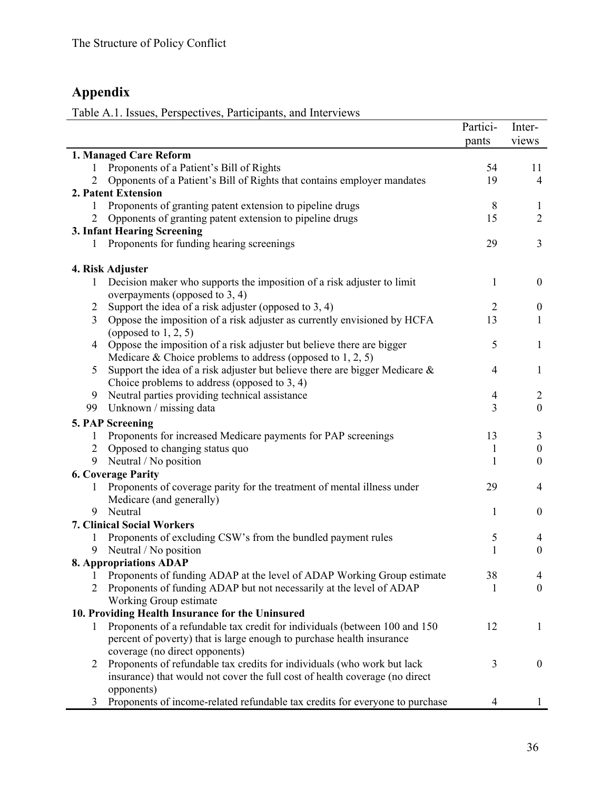# **Appendix**

Table A.1. Issues, Perspectives, Participants, and Interviews

|                                                                                     | Partici-       | Inter-<br>views       |
|-------------------------------------------------------------------------------------|----------------|-----------------------|
|                                                                                     | pants          |                       |
| 1. Managed Care Reform                                                              | 54             |                       |
| Proponents of a Patient's Bill of Rights<br>1<br>$\overline{2}$                     |                | 11                    |
| Opponents of a Patient's Bill of Rights that contains employer mandates             | 19             | $\overline{4}$        |
| 2. Patent Extension                                                                 |                |                       |
| Proponents of granting patent extension to pipeline drugs<br>1                      | 8              | $\mathbf{1}$          |
| Opponents of granting patent extension to pipeline drugs<br>2                       | 15             | $\overline{2}$        |
| 3. Infant Hearing Screening                                                         |                |                       |
| Proponents for funding hearing screenings                                           | 29             | 3                     |
| 4. Risk Adjuster                                                                    |                |                       |
| Decision maker who supports the imposition of a risk adjuster to limit<br>1         | $\mathbf{1}$   | $\boldsymbol{0}$      |
| overpayments (opposed to $3, 4$ )                                                   |                |                       |
| Support the idea of a risk adjuster (opposed to $3, 4$ )<br>$\overline{2}$          | $\overline{2}$ | $\boldsymbol{0}$      |
| 3<br>Oppose the imposition of a risk adjuster as currently envisioned by HCFA       | 13             | 1                     |
| (opposed to $1, 2, 5$ )                                                             |                |                       |
| Oppose the imposition of a risk adjuster but believe there are bigger<br>4          | 5              | $\mathbf{1}$          |
| Medicare & Choice problems to address (opposed to $1, 2, 5$ )                       |                |                       |
| Support the idea of a risk adjuster but believe there are bigger Medicare $\&$<br>5 | $\overline{4}$ | $\mathbf{1}$          |
| Choice problems to address (opposed to $3, 4$ )                                     |                |                       |
| Neutral parties providing technical assistance<br>9                                 | $\overline{4}$ | 2                     |
| 99<br>Unknown / missing data                                                        | 3              | $\boldsymbol{0}$      |
| 5. PAP Screening                                                                    |                |                       |
| Proponents for increased Medicare payments for PAP screenings<br>1                  | 13             | 3                     |
| Opposed to changing status quo<br>$\overline{2}$                                    |                | $\boldsymbol{0}$      |
| 9                                                                                   | 1<br>1         | $\boldsymbol{0}$      |
| Neutral / No position                                                               |                |                       |
| <b>6. Coverage Parity</b>                                                           |                |                       |
| Proponents of coverage parity for the treatment of mental illness under<br>1        | 29             | 4                     |
| Medicare (and generally)                                                            |                |                       |
| Neutral<br>9                                                                        | 1              | $\boldsymbol{0}$      |
| <b>7. Clinical Social Workers</b>                                                   |                |                       |
| Proponents of excluding CSW's from the bundled payment rules<br>1                   | 5              | 4<br>$\boldsymbol{0}$ |
| Neutral / No position<br>9                                                          | $\mathbf{1}$   |                       |
| <b>8. Appropriations ADAP</b>                                                       |                |                       |
| Proponents of funding ADAP at the level of ADAP Working Group estimate<br>1         | 38             | 4                     |
| 2<br>Proponents of funding ADAP but not necessarily at the level of ADAP            | 1              | $\overline{0}$        |
| Working Group estimate                                                              |                |                       |
| 10. Providing Health Insurance for the Uninsured                                    |                |                       |
| Proponents of a refundable tax credit for individuals (between 100 and 150<br>1     | 12             | 1                     |
| percent of poverty) that is large enough to purchase health insurance               |                |                       |
| coverage (no direct opponents)                                                      |                |                       |
| Proponents of refundable tax credits for individuals (who work but lack<br>2        | 3              | $\overline{0}$        |
| insurance) that would not cover the full cost of health coverage (no direct         |                |                       |
| opponents)                                                                          |                |                       |
| Proponents of income-related refundable tax credits for everyone to purchase<br>3   | $\overline{4}$ | 1                     |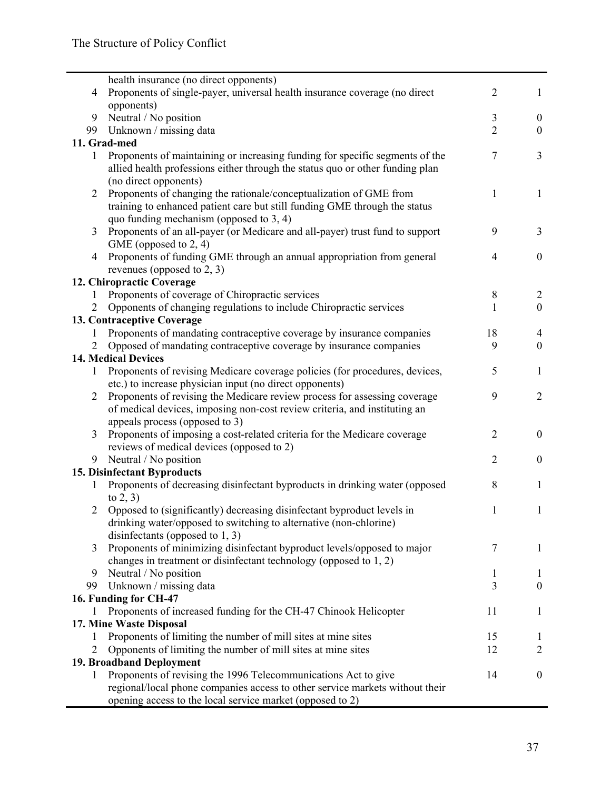|                | health insurance (no direct opponents)                                                                                                                                                 |                |                  |
|----------------|----------------------------------------------------------------------------------------------------------------------------------------------------------------------------------------|----------------|------------------|
| $\overline{4}$ | Proponents of single-payer, universal health insurance coverage (no direct                                                                                                             | $\overline{2}$ | 1                |
|                | opponents)                                                                                                                                                                             |                |                  |
| 9              | Neutral / No position                                                                                                                                                                  | 3              | $\overline{0}$   |
| 99             | Unknown / missing data                                                                                                                                                                 | $\overline{2}$ | $\mathbf{0}$     |
|                | 11. Grad-med                                                                                                                                                                           |                |                  |
| 1              | Proponents of maintaining or increasing funding for specific segments of the<br>allied health professions either through the status quo or other funding plan<br>(no direct opponents) | 7              | $\overline{3}$   |
| 2              | Proponents of changing the rationale/conceptualization of GME from<br>training to enhanced patient care but still funding GME through the status                                       | 1              | 1                |
|                | quo funding mechanism (opposed to $3, 4$ )                                                                                                                                             |                |                  |
| 3              | Proponents of an all-payer (or Medicare and all-payer) trust fund to support                                                                                                           | 9              | 3                |
|                | GME (opposed to 2, 4)                                                                                                                                                                  |                |                  |
| 4              | Proponents of funding GME through an annual appropriation from general                                                                                                                 | $\overline{4}$ | $\boldsymbol{0}$ |
|                | revenues (opposed to 2, 3)                                                                                                                                                             |                |                  |
|                | 12. Chiropractic Coverage                                                                                                                                                              |                |                  |
| $\mathbf{1}$   | Proponents of coverage of Chiropractic services                                                                                                                                        | 8              | $\overline{2}$   |
| 2              | Opponents of changing regulations to include Chiropractic services                                                                                                                     | 1              | $\boldsymbol{0}$ |
|                | 13. Contraceptive Coverage                                                                                                                                                             |                |                  |
| 1              | Proponents of mandating contraceptive coverage by insurance companies                                                                                                                  | 18             | 4                |
| 2              | Opposed of mandating contraceptive coverage by insurance companies                                                                                                                     | 9              | $\mathbf{0}$     |
|                | <b>14. Medical Devices</b>                                                                                                                                                             |                |                  |
| 1              | Proponents of revising Medicare coverage policies (for procedures, devices,<br>etc.) to increase physician input (no direct opponents)                                                 | 5              | 1                |
| $\overline{2}$ | Proponents of revising the Medicare review process for assessing coverage                                                                                                              | 9              | $\overline{2}$   |
|                | of medical devices, imposing non-cost review criteria, and instituting an<br>appeals process (opposed to 3)                                                                            |                |                  |
| 3              | Proponents of imposing a cost-related criteria for the Medicare coverage                                                                                                               | $\overline{2}$ | $\boldsymbol{0}$ |
|                | reviews of medical devices (opposed to 2)                                                                                                                                              |                |                  |
| 9              | Neutral / No position                                                                                                                                                                  | $\overline{2}$ | $\boldsymbol{0}$ |
|                | 15. Disinfectant Byproducts                                                                                                                                                            |                |                  |
| 1              | Proponents of decreasing disinfectant byproducts in drinking water (opposed                                                                                                            | 8              | 1                |
|                | to $2, 3$                                                                                                                                                                              |                |                  |
| 2              | Opposed to (significantly) decreasing disinfectant byproduct levels in<br>drinking water/opposed to switching to alternative (non-chlorine)<br>disinfectants (opposed to $1, 3$ )      | $\mathbf{1}$   | 1                |
| 3              | Proponents of minimizing disinfectant byproduct levels/opposed to major                                                                                                                | 7              | 1                |
|                | changes in treatment or disinfectant technology (opposed to $1, 2$ )                                                                                                                   |                |                  |
| 9              | Neutral / No position                                                                                                                                                                  | 1              | $\perp$          |
| 99             | Unknown / missing data                                                                                                                                                                 | 3              | $\mathbf{0}$     |
|                | 16. Funding for CH-47                                                                                                                                                                  |                |                  |
| 1              | Proponents of increased funding for the CH-47 Chinook Helicopter                                                                                                                       | 11             | 1                |
|                | 17. Mine Waste Disposal                                                                                                                                                                |                |                  |
| 1              | Proponents of limiting the number of mill sites at mine sites                                                                                                                          | 15             | 1                |
| 2              | Opponents of limiting the number of mill sites at mine sites                                                                                                                           | 12             | $\overline{2}$   |
|                | 19. Broadband Deployment                                                                                                                                                               |                |                  |
| 1              | Proponents of revising the 1996 Telecommunications Act to give<br>regional/local phone companies access to other service markets without their                                         | 14             | $\mathbf{0}$     |
|                | opening access to the local service market (opposed to 2)                                                                                                                              |                |                  |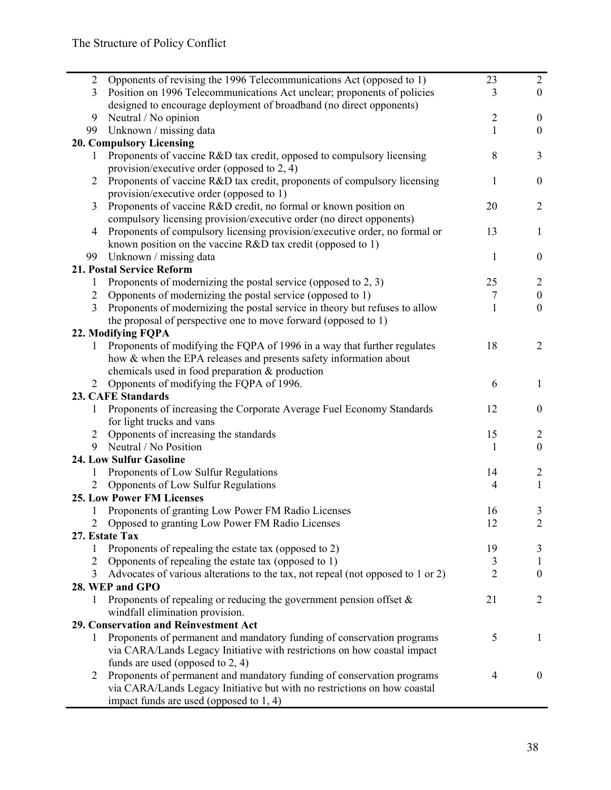| $\overline{2}$ | Opponents of revising the 1996 Telecommunications Act (opposed to 1)            | 23             | $\overline{2}$   |
|----------------|---------------------------------------------------------------------------------|----------------|------------------|
| 3              | Position on 1996 Telecommunications Act unclear; proponents of policies         | 3              | $\overline{0}$   |
|                | designed to encourage deployment of broadband (no direct opponents)             |                |                  |
| 9              | Neutral / No opinion                                                            | $\sqrt{2}$     | $\boldsymbol{0}$ |
| 99             | Unknown / missing data                                                          | 1              | $\boldsymbol{0}$ |
|                | <b>20. Compulsory Licensing</b>                                                 |                |                  |
| 1              | Proponents of vaccine R&D tax credit, opposed to compulsory licensing           | 8              | 3                |
|                | provision/executive order (opposed to $2, 4$ )                                  |                |                  |
| 2              | Proponents of vaccine R&D tax credit, proponents of compulsory licensing        | 1              | $\boldsymbol{0}$ |
|                | provision/executive order (opposed to 1)                                        |                |                  |
| 3              | Proponents of vaccine R&D credit, no formal or known position on                | 20             | $\overline{2}$   |
|                | compulsory licensing provision/executive order (no direct opponents)            |                |                  |
| 4              | Proponents of compulsory licensing provision/executive order, no formal or      | 13             | 1                |
|                | known position on the vaccine $R&D$ tax credit (opposed to 1)                   |                |                  |
| 99             | Unknown / missing data                                                          | 1              | $\mathbf{0}$     |
|                | 21. Postal Service Reform                                                       |                |                  |
|                |                                                                                 |                |                  |
| 1              | Proponents of modernizing the postal service (opposed to 2, 3)                  | 25             | $\overline{2}$   |
| $\overline{2}$ | Opponents of modernizing the postal service (opposed to 1)                      | 7              | $\boldsymbol{0}$ |
| 3              | Proponents of modernizing the postal service in theory but refuses to allow     | $\mathbf{1}$   | $\boldsymbol{0}$ |
|                | the proposal of perspective one to move forward (opposed to 1)                  |                |                  |
|                | 22. Modifying FQPA                                                              |                |                  |
| 1              | Proponents of modifying the FQPA of 1996 in a way that further regulates        | 18             | $\overline{2}$   |
|                | how & when the EPA releases and presents safety information about               |                |                  |
|                | chemicals used in food preparation $\&$ production                              |                |                  |
| 2              | Opponents of modifying the FQPA of 1996.                                        | 6              | 1                |
|                | 23. CAFE Standards                                                              |                |                  |
| 1              | Proponents of increasing the Corporate Average Fuel Economy Standards           | 12             | $\mathbf{0}$     |
|                | for light trucks and vans                                                       |                |                  |
| $\overline{2}$ | Opponents of increasing the standards                                           | 15             | 2                |
| 9              | Neutral / No Position                                                           | $\mathbf{1}$   | $\mathbf{0}$     |
|                | <b>24. Low Sulfur Gasoline</b>                                                  |                |                  |
| 1              | Proponents of Low Sulfur Regulations                                            | 14             | 2                |
| 2              | Opponents of Low Sulfur Regulations                                             | $\overline{4}$ | 1                |
|                | <b>25. Low Power FM Licenses</b>                                                |                |                  |
|                | Proponents of granting Low Power FM Radio Licenses                              | 16             | 3                |
|                | Opposed to granting Low Power FM Radio Licenses                                 | 12             | $\overline{2}$   |
|                | 27. Estate Tax                                                                  |                |                  |
| 1              | Proponents of repealing the estate tax (opposed to 2)                           | 19             | 3                |
| 2              | Opponents of repealing the estate tax (opposed to 1)                            | 3              | 1                |
| 3              | Advocates of various alterations to the tax, not repeal (not opposed to 1 or 2) | $\overline{2}$ | $\mathbf{0}$     |
|                | 28. WEP and GPO                                                                 |                |                  |
| 1              | Proponents of repealing or reducing the government pension offset $\&$          | 21             | $\overline{2}$   |
|                |                                                                                 |                |                  |
|                | windfall elimination provision.                                                 |                |                  |
|                | 29. Conservation and Reinvestment Act                                           |                |                  |
| 1              | Proponents of permanent and mandatory funding of conservation programs          | 5              | 1                |
|                | via CARA/Lands Legacy Initiative with restrictions on how coastal impact        |                |                  |
|                | funds are used (opposed to $2, 4$ )                                             |                |                  |
| 2              | Proponents of permanent and mandatory funding of conservation programs          | $\overline{4}$ | $\mathbf{0}$     |
|                | via CARA/Lands Legacy Initiative but with no restrictions on how coastal        |                |                  |
|                | impact funds are used (opposed to 1, 4)                                         |                |                  |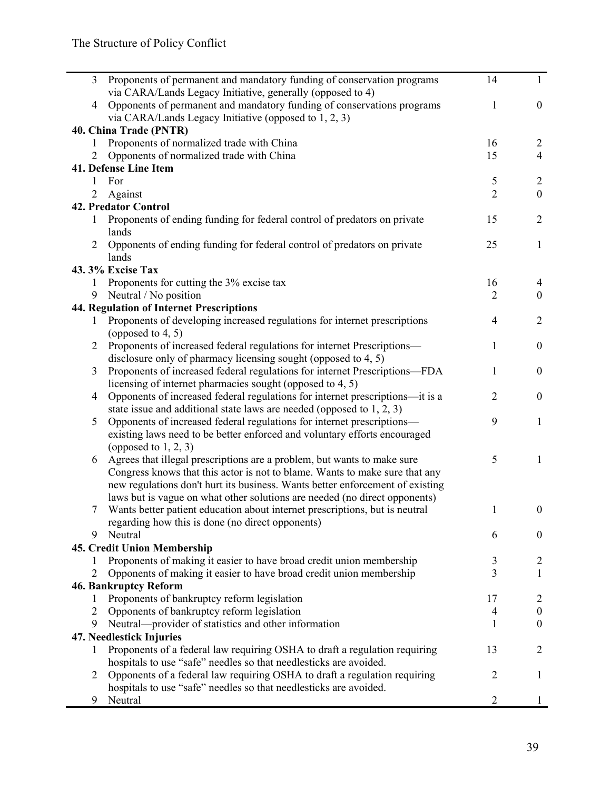| 3              | Proponents of permanent and mandatory funding of conservation programs        | 14             | $\mathbf{1}$     |
|----------------|-------------------------------------------------------------------------------|----------------|------------------|
|                | via CARA/Lands Legacy Initiative, generally (opposed to 4)                    |                |                  |
| 4              | Opponents of permanent and mandatory funding of conservations programs        | 1              | $\boldsymbol{0}$ |
|                | via CARA/Lands Legacy Initiative (opposed to 1, 2, 3)                         |                |                  |
|                | 40. China Trade (PNTR)                                                        |                |                  |
|                | Proponents of normalized trade with China                                     | 16             | $\overline{2}$   |
| 2              | Opponents of normalized trade with China                                      | 15             | $\overline{4}$   |
|                | 41. Defense Line Item                                                         |                |                  |
| 1              | For                                                                           | 5              | $\overline{2}$   |
| $\overline{2}$ | Against                                                                       | $\overline{2}$ | $\boldsymbol{0}$ |
|                | <b>42. Predator Control</b>                                                   |                |                  |
| 1              | Proponents of ending funding for federal control of predators on private      | 15             | $\overline{2}$   |
|                | lands                                                                         |                |                  |
| $\overline{2}$ | Opponents of ending funding for federal control of predators on private       | 25             | $\mathbf{1}$     |
|                | lands                                                                         |                |                  |
|                | 43.3% Excise Tax                                                              |                |                  |
| 1              | Proponents for cutting the 3% excise tax                                      | 16             | 4                |
| 9              | Neutral / No position                                                         | $\overline{2}$ | $\mathbf{0}$     |
|                | <b>44. Regulation of Internet Prescriptions</b>                               |                |                  |
| 1              | Proponents of developing increased regulations for internet prescriptions     | 4              | $\overline{2}$   |
|                | (opposed to $4, 5$ )                                                          |                |                  |
| 2              | Proponents of increased federal regulations for internet Prescriptions—       | 1              | $\boldsymbol{0}$ |
|                | disclosure only of pharmacy licensing sought (opposed to 4, 5)                |                |                  |
| 3              | Proponents of increased federal regulations for internet Prescriptions-FDA    | 1              | $\boldsymbol{0}$ |
|                | licensing of internet pharmacies sought (opposed to 4, 5)                     |                |                  |
| 4              | Opponents of increased federal regulations for internet prescriptions—it is a | 2              | $\boldsymbol{0}$ |
|                | state issue and additional state laws are needed (opposed to $1, 2, 3$ )      |                |                  |
| 5              | Opponents of increased federal regulations for internet prescriptions—        | 9              | $\mathbf{1}$     |
|                | existing laws need to be better enforced and voluntary efforts encouraged     |                |                  |
|                | (opposed to $1, 2, 3$ )                                                       |                |                  |
| 6              | Agrees that illegal prescriptions are a problem, but wants to make sure       | 5              | $\mathbf{1}$     |
|                | Congress knows that this actor is not to blame. Wants to make sure that any   |                |                  |
|                | new regulations don't hurt its business. Wants better enforcement of existing |                |                  |
|                | laws but is vague on what other solutions are needed (no direct opponents)    |                |                  |
|                | Wants better patient education about internet prescriptions, but is neutral   |                | $\boldsymbol{0}$ |
|                | regarding how this is done (no direct opponents)                              |                |                  |
| 9              | Neutral                                                                       | 6              | $\mathbf{0}$     |
|                | 45. Credit Union Membership                                                   |                |                  |
| $\mathbf{I}$   | Proponents of making it easier to have broad credit union membership          | 3              | $\overline{2}$   |
| $\overline{2}$ | Opponents of making it easier to have broad credit union membership           | 3              | $\mathbf{1}$     |
|                | <b>46. Bankruptcy Reform</b>                                                  |                |                  |
| 1              | Proponents of bankruptcy reform legislation                                   | 17             | $\overline{2}$   |
| 2              | Opponents of bankruptcy reform legislation                                    | 4              | $\boldsymbol{0}$ |
| 9              | Neutral—provider of statistics and other information                          | 1              | $\boldsymbol{0}$ |
|                | 47. Needlestick Injuries                                                      |                |                  |
| 1              | Proponents of a federal law requiring OSHA to draft a regulation requiring    | 13             | $\overline{2}$   |
|                | hospitals to use "safe" needles so that needlesticks are avoided.             |                |                  |
| 2              | Opponents of a federal law requiring OSHA to draft a regulation requiring     | 2              | 1                |
|                | hospitals to use "safe" needles so that needlesticks are avoided.             |                |                  |
| 9              | Neutral                                                                       | $\overline{2}$ | 1                |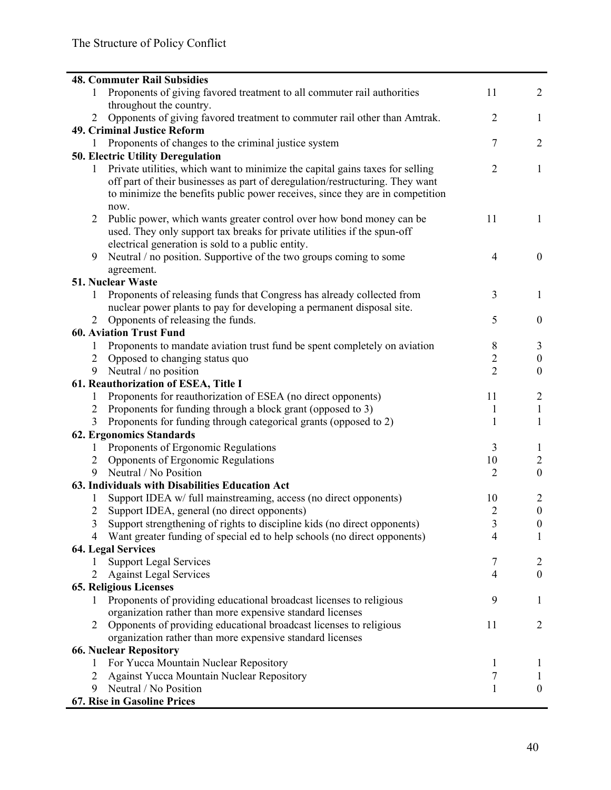|                | <b>48. Commuter Rail Subsidies</b>                                            |                |                  |
|----------------|-------------------------------------------------------------------------------|----------------|------------------|
|                |                                                                               | 11             | $\overline{2}$   |
| 1              | Proponents of giving favored treatment to all commuter rail authorities       |                |                  |
|                | throughout the country.                                                       | $\overline{2}$ |                  |
| $\overline{2}$ | Opponents of giving favored treatment to commuter rail other than Amtrak.     |                | $\mathbf{1}$     |
|                | 49. Criminal Justice Reform                                                   |                |                  |
| 1              | Proponents of changes to the criminal justice system                          | 7              | $\overline{2}$   |
|                | <b>50. Electric Utility Deregulation</b>                                      |                |                  |
| 1              | Private utilities, which want to minimize the capital gains taxes for selling | $\overline{2}$ | $\mathbf{1}$     |
|                | off part of their businesses as part of deregulation/restructuring. They want |                |                  |
|                | to minimize the benefits public power receives, since they are in competition |                |                  |
|                | now.                                                                          |                |                  |
| $\overline{2}$ | Public power, which wants greater control over how bond money can be          | 11             | 1                |
|                | used. They only support tax breaks for private utilities if the spun-off      |                |                  |
|                | electrical generation is sold to a public entity.                             |                |                  |
| 9              | Neutral / no position. Supportive of the two groups coming to some            | $\overline{4}$ | $\boldsymbol{0}$ |
|                | agreement.                                                                    |                |                  |
|                | 51. Nuclear Waste                                                             |                |                  |
| 1              | Proponents of releasing funds that Congress has already collected from        | 3              | 1                |
|                | nuclear power plants to pay for developing a permanent disposal site.         |                |                  |
| 2              | Opponents of releasing the funds.                                             | 5              | $\boldsymbol{0}$ |
|                | <b>60. Aviation Trust Fund</b>                                                |                |                  |
| 1              | Proponents to mandate aviation trust fund be spent completely on aviation     | 8              | 3                |
| 2              | Opposed to changing status quo                                                | $\overline{c}$ | $\boldsymbol{0}$ |
| 9              | Neutral / no position                                                         | $\overline{2}$ | $\boldsymbol{0}$ |
|                | 61. Reauthorization of ESEA, Title I                                          |                |                  |
| $\mathbf{1}$   | Proponents for reauthorization of ESEA (no direct opponents)                  | 11             | 2                |
| $\overline{c}$ | Proponents for funding through a block grant (opposed to 3)                   | $\mathbf{1}$   | 1                |
| 3              | Proponents for funding through categorical grants (opposed to 2)              | $\mathbf{1}$   | 1                |
|                | <b>62. Ergonomics Standards</b>                                               |                |                  |
| 1              | Proponents of Ergonomic Regulations                                           | 3              | $\mathbf{I}$     |
| 2              | Opponents of Ergonomic Regulations                                            | 10             | $\overline{2}$   |
| 9              | Neutral / No Position                                                         | $\overline{2}$ | $\boldsymbol{0}$ |
|                | 63. Individuals with Disabilities Education Act                               |                |                  |
| 1              | Support IDEA w/ full mainstreaming, access (no direct opponents)              | 10             | 2                |
|                | Support IDEA, general (no direct opponents)                                   | $\overline{c}$ | $\boldsymbol{0}$ |
| 3              | Support strengthening of rights to discipline kids (no direct opponents)      | 3              | $\boldsymbol{0}$ |
| 4              | Want greater funding of special ed to help schools (no direct opponents)      | 4              | 1                |
|                | <b>64. Legal Services</b>                                                     |                |                  |
| 1              | <b>Support Legal Services</b>                                                 | 7              | 2                |
| 2              | <b>Against Legal Services</b>                                                 | 4              | $\boldsymbol{0}$ |
|                | <b>65. Religious Licenses</b>                                                 |                |                  |
| 1              | Proponents of providing educational broadcast licenses to religious           | 9              | 1                |
|                | organization rather than more expensive standard licenses                     |                |                  |
| 2              | Opponents of providing educational broadcast licenses to religious            | 11             | 2                |
|                | organization rather than more expensive standard licenses                     |                |                  |
|                | <b>66. Nuclear Repository</b>                                                 |                |                  |
| 1              | For Yucca Mountain Nuclear Repository                                         | 1              | $\mathbf{I}$     |
| 2              | <b>Against Yucca Mountain Nuclear Repository</b>                              | 7              | $\mathbf{I}$     |
| 9              | Neutral / No Position                                                         | 1              | $\boldsymbol{0}$ |
|                | 67. Rise in Gasoline Prices                                                   |                |                  |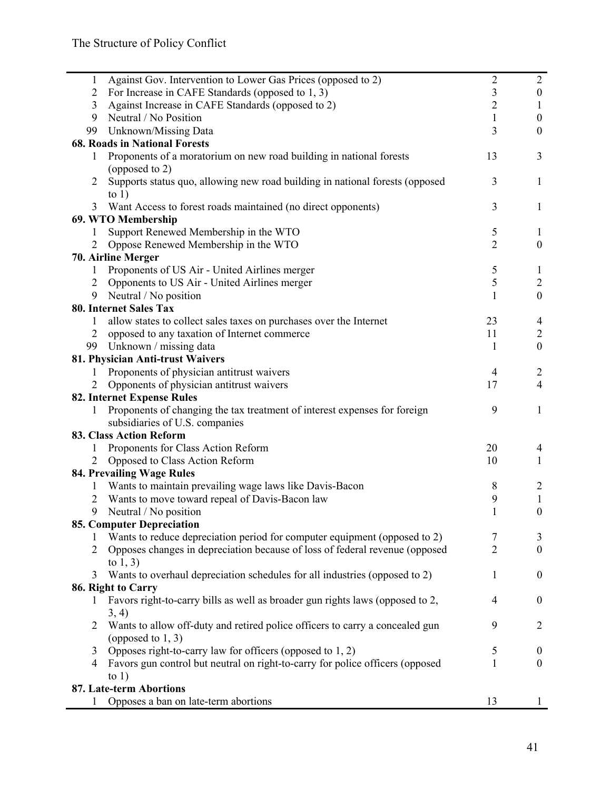| $\mathbf{1}$   | Against Gov. Intervention to Lower Gas Prices (opposed to 2)                                           | $\overline{2}$      | $\overline{2}$   |
|----------------|--------------------------------------------------------------------------------------------------------|---------------------|------------------|
| $\overline{2}$ | For Increase in CAFE Standards (opposed to 1, 3)                                                       | 3                   | $\mathbf{0}$     |
| 3              | Against Increase in CAFE Standards (opposed to 2)                                                      | $\overline{2}$      | 1                |
| 9              | Neutral / No Position                                                                                  | 1                   | $\boldsymbol{0}$ |
| 99             | Unknown/Missing Data                                                                                   | 3                   | $\boldsymbol{0}$ |
|                | <b>68. Roads in National Forests</b>                                                                   |                     |                  |
| 1              | Proponents of a moratorium on new road building in national forests                                    | 13                  | 3                |
|                | (opposed to 2)                                                                                         |                     |                  |
| 2              | Supports status quo, allowing new road building in national forests (opposed                           | 3                   | 1                |
|                | to $1)$                                                                                                |                     |                  |
| 3              | Want Access to forest roads maintained (no direct opponents)                                           | 3                   | 1                |
|                | 69. WTO Membership                                                                                     |                     |                  |
| 1              | Support Renewed Membership in the WTO                                                                  | 5                   | 1                |
| $\overline{2}$ | Oppose Renewed Membership in the WTO                                                                   | $\overline{2}$      | $\boldsymbol{0}$ |
|                | 70. Airline Merger                                                                                     |                     |                  |
| $\mathbf{1}$   | Proponents of US Air - United Airlines merger                                                          | 5                   | 1                |
| $\overline{2}$ | Opponents to US Air - United Airlines merger                                                           | 5                   | $\overline{2}$   |
| 9              | Neutral / No position                                                                                  | $\mathbf{1}$        | $\boldsymbol{0}$ |
|                | <b>80. Internet Sales Tax</b>                                                                          |                     |                  |
| 1              | allow states to collect sales taxes on purchases over the Internet                                     | 23                  | 4                |
| $\overline{2}$ | opposed to any taxation of Internet commerce                                                           | 11                  | $\overline{c}$   |
| 99             | Unknown / missing data                                                                                 | 1                   | $\mathbf{0}$     |
|                | 81. Physician Anti-trust Waivers                                                                       |                     |                  |
|                | Proponents of physician antitrust waivers                                                              | $\overline{4}$      | $\overline{2}$   |
| 2              | Opponents of physician antitrust waivers                                                               | 17                  | $\overline{4}$   |
|                | 82. Internet Expense Rules                                                                             |                     |                  |
| 1              | Proponents of changing the tax treatment of interest expenses for foreign                              | 9                   | 1                |
|                | subsidiaries of U.S. companies                                                                         |                     |                  |
|                | <b>83. Class Action Reform</b>                                                                         |                     |                  |
| 1              | Proponents for Class Action Reform                                                                     | 20                  | 4                |
| $\overline{2}$ | Opposed to Class Action Reform                                                                         | 10                  | 1                |
|                | 84. Prevailing Wage Rules                                                                              |                     |                  |
| 1              | Wants to maintain prevailing wage laws like Davis-Bacon                                                | 8                   | $\overline{2}$   |
| 2              | Wants to move toward repeal of Davis-Bacon law                                                         | 9                   | $\mathbf{1}$     |
| 9              | Neutral / No position                                                                                  |                     | $\boldsymbol{0}$ |
|                |                                                                                                        |                     |                  |
|                | 85. Computer Depreciation<br>Wants to reduce depreciation period for computer equipment (opposed to 2) |                     |                  |
|                |                                                                                                        | 7<br>$\overline{2}$ | 3<br>$\theta$    |
| 2              | Opposes changes in depreciation because of loss of federal revenue (opposed                            |                     |                  |
|                | to $1, 3$                                                                                              |                     |                  |
| 3              | Wants to overhaul depreciation schedules for all industries (opposed to 2)                             | 1                   | $\boldsymbol{0}$ |
|                | 86. Right to Carry                                                                                     |                     |                  |
| 1              | Favors right-to-carry bills as well as broader gun rights laws (opposed to 2,                          | $\overline{4}$      | $\boldsymbol{0}$ |
|                | 3, 4)                                                                                                  |                     |                  |
| 2              | Wants to allow off-duty and retired police officers to carry a concealed gun                           | 9                   | 2                |
|                | (opposed to $1, 3$ )                                                                                   |                     |                  |
| 3              | Opposes right-to-carry law for officers (opposed to 1, 2)                                              | 5                   | $\boldsymbol{0}$ |
| 4              | Favors gun control but neutral on right-to-carry for police officers (opposed                          | 1                   | $\mathbf{0}$     |
|                | to $1)$                                                                                                |                     |                  |
|                | 87. Late-term Abortions                                                                                |                     |                  |
|                | Opposes a ban on late-term abortions                                                                   | 13                  |                  |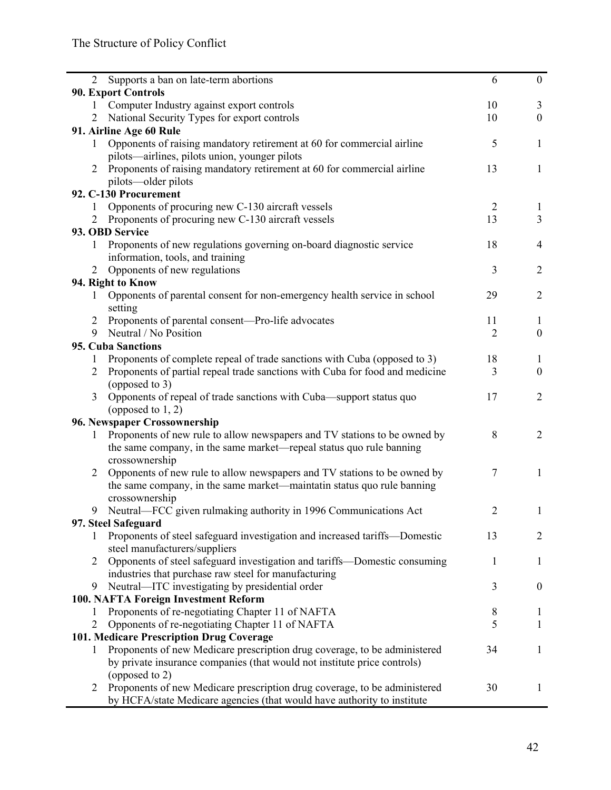| 2              | Supports a ban on late-term abortions                                        | 6              | $\mathbf{0}$     |
|----------------|------------------------------------------------------------------------------|----------------|------------------|
|                | <b>90. Export Controls</b>                                                   |                |                  |
| 1              | Computer Industry against export controls                                    | 10             | 3                |
| 2              | National Security Types for export controls                                  | 10             | $\boldsymbol{0}$ |
|                | 91. Airline Age 60 Rule                                                      |                |                  |
| $\mathbf{1}$   | Opponents of raising mandatory retirement at 60 for commercial airline       | 5              | $\mathbf{1}$     |
|                | pilots—airlines, pilots union, younger pilots                                |                |                  |
| 2              | Proponents of raising mandatory retirement at 60 for commercial airline      | 13             | 1                |
|                | pilots—older pilots                                                          |                |                  |
|                | 92. C-130 Procurement                                                        |                |                  |
| 1              | Opponents of procuring new C-130 aircraft vessels                            | $\overline{2}$ | $\mathbf{1}$     |
| 2              | Proponents of procuring new C-130 aircraft vessels                           | 13             | $\overline{3}$   |
|                | 93. OBD Service                                                              |                |                  |
| $\mathbf{1}$   | Proponents of new regulations governing on-board diagnostic service          | 18             | 4                |
|                | information, tools, and training                                             |                |                  |
| 2              | Opponents of new regulations                                                 | 3              | $\overline{2}$   |
|                | 94. Right to Know                                                            |                |                  |
| 1              | Opponents of parental consent for non-emergency health service in school     | 29             | $\overline{2}$   |
|                | setting                                                                      |                |                  |
| 2              | Proponents of parental consent—Pro-life advocates                            | 11             | 1                |
| 9              | Neutral / No Position                                                        | $\overline{2}$ | $\mathbf{0}$     |
|                | <b>95. Cuba Sanctions</b>                                                    |                |                  |
| 1              | Proponents of complete repeal of trade sanctions with Cuba (opposed to 3)    | 18             | 1                |
| 2              | Proponents of partial repeal trade sanctions with Cuba for food and medicine | 3              | $\boldsymbol{0}$ |
|                | (opposed to 3)                                                               |                |                  |
| 3              | Opponents of repeal of trade sanctions with Cuba—support status quo          | 17             | $\overline{2}$   |
|                | (opposed to $1, 2$ )                                                         |                |                  |
|                | 96. Newspaper Crossownership                                                 |                |                  |
| 1              | Proponents of new rule to allow newspapers and TV stations to be owned by    | 8              | $\overline{2}$   |
|                | the same company, in the same market—repeal status quo rule banning          |                |                  |
|                | crossownership                                                               |                |                  |
| 2              | Opponents of new rule to allow newspapers and TV stations to be owned by     | 7              | $\mathbf{1}$     |
|                | the same company, in the same market—maintatin status quo rule banning       |                |                  |
|                | crossownership                                                               |                |                  |
| 9              | Neutral—FCC given rulmaking authority in 1996 Communications Act             | 2              | $\mathbf{1}$     |
|                | 97. Steel Safeguard                                                          |                |                  |
| 1              | Proponents of steel safeguard investigation and increased tariffs-Domestic   | 13             | $\overline{2}$   |
|                | steel manufacturers/suppliers                                                |                |                  |
| 2              | Opponents of steel safeguard investigation and tariffs—Domestic consuming    | 1              | 1                |
|                | industries that purchase raw steel for manufacturing                         |                |                  |
| 9              | Neutral-ITC investigating by presidential order                              | 3              | $\boldsymbol{0}$ |
|                | 100. NAFTA Foreign Investment Reform                                         |                |                  |
| 1              | Proponents of re-negotiating Chapter 11 of NAFTA                             |                |                  |
| $\overline{2}$ |                                                                              | 8<br>5         | 1                |
|                | Opponents of re-negotiating Chapter 11 of NAFTA                              |                | $\mathbf{1}$     |
|                | 101. Medicare Prescription Drug Coverage                                     |                |                  |
| $\mathbf{1}$   | Proponents of new Medicare prescription drug coverage, to be administered    | 34             | $\mathbf{1}$     |
|                | by private insurance companies (that would not institute price controls)     |                |                  |
|                | (opposed to 2)                                                               |                |                  |
| 2              | Proponents of new Medicare prescription drug coverage, to be administered    | 30             | 1                |
|                | by HCFA/state Medicare agencies (that would have authority to institute      |                |                  |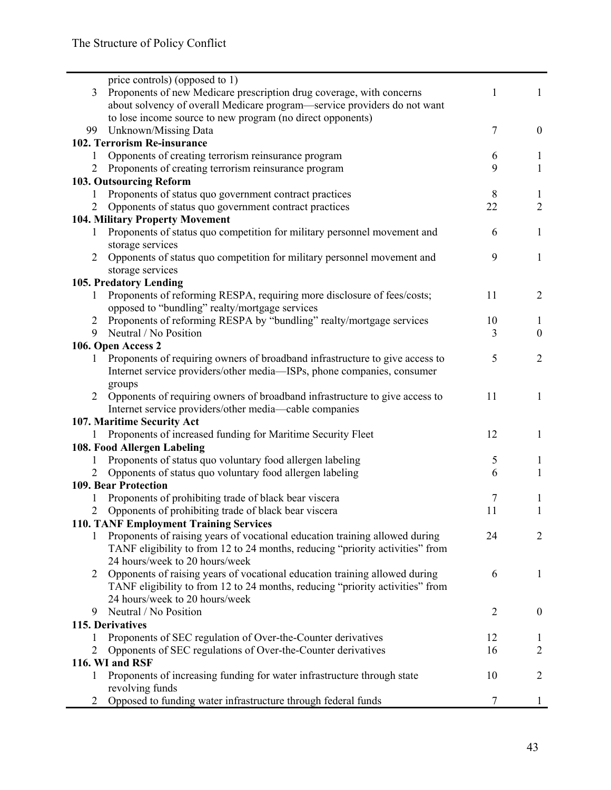|                | price controls) (opposed to 1)                                                |                |                  |
|----------------|-------------------------------------------------------------------------------|----------------|------------------|
| 3              | Proponents of new Medicare prescription drug coverage, with concerns          | 1              | 1                |
|                | about solvency of overall Medicare program—service providers do not want      |                |                  |
|                | to lose income source to new program (no direct opponents)                    |                |                  |
| 99             | Unknown/Missing Data                                                          | 7              | $\boldsymbol{0}$ |
|                | 102. Terrorism Re-insurance                                                   |                |                  |
| 1              | Opponents of creating terrorism reinsurance program                           | 6              | 1                |
| 2              | Proponents of creating terrorism reinsurance program                          | 9              | $\mathbf{1}$     |
|                | 103. Outsourcing Reform                                                       |                |                  |
| 1              | Proponents of status quo government contract practices                        | 8              | $\mathbf{1}$     |
| $\overline{2}$ | Opponents of status quo government contract practices                         | 22             | $\overline{2}$   |
|                | <b>104. Military Property Movement</b>                                        |                |                  |
| 1              | Proponents of status quo competition for military personnel movement and      | 6              | $\mathbf{1}$     |
|                | storage services                                                              |                |                  |
| 2              | Opponents of status quo competition for military personnel movement and       | 9              | $\mathbf{1}$     |
|                | storage services                                                              |                |                  |
|                | 105. Predatory Lending                                                        |                |                  |
| 1              | Proponents of reforming RESPA, requiring more disclosure of fees/costs;       | 11             | 2                |
|                | opposed to "bundling" realty/mortgage services                                |                |                  |
| 2              | Proponents of reforming RESPA by "bundling" realty/mortgage services          | 10             | -1               |
| 9              | Neutral / No Position                                                         | 3              | $\boldsymbol{0}$ |
|                | 106. Open Access 2                                                            |                |                  |
| 1              | Proponents of requiring owners of broadband infrastructure to give access to  | 5              | $\overline{2}$   |
|                | Internet service providers/other media—ISPs, phone companies, consumer        |                |                  |
|                | groups                                                                        |                |                  |
| $\overline{2}$ | Opponents of requiring owners of broadband infrastructure to give access to   | 11             | $\mathbf{1}$     |
|                | Internet service providers/other media-cable companies                        |                |                  |
|                | 107. Maritime Security Act                                                    |                |                  |
| 1              | Proponents of increased funding for Maritime Security Fleet                   | 12             | 1                |
|                | 108. Food Allergen Labeling                                                   |                |                  |
| 1              | Proponents of status quo voluntary food allergen labeling                     | 5              | 1                |
| 2              | Opponents of status quo voluntary food allergen labeling                      | 6              | 1                |
|                | <b>109. Bear Protection</b>                                                   |                |                  |
| 1              | Proponents of prohibiting trade of black bear viscera                         | 7              | 1                |
| 2              | Opponents of prohibiting trade of black bear viscera                          | 11             | $\mathbf{1}$     |
|                | <b>110. TANF Employment Training Services</b>                                 |                |                  |
| 1              | Proponents of raising years of vocational education training allowed during   | 24             | 2                |
|                | TANF eligibility to from 12 to 24 months, reducing "priority activities" from |                |                  |
|                | 24 hours/week to 20 hours/week                                                |                |                  |
| 2              | Opponents of raising years of vocational education training allowed during    | 6              | 1                |
|                | TANF eligibility to from 12 to 24 months, reducing "priority activities" from |                |                  |
|                | 24 hours/week to 20 hours/week                                                |                |                  |
| 9              | Neutral / No Position                                                         | $\overline{2}$ | $\boldsymbol{0}$ |
|                | 115. Derivatives                                                              |                |                  |
| 1              | Proponents of SEC regulation of Over-the-Counter derivatives                  | 12             | $\perp$          |
| $\overline{2}$ | Opponents of SEC regulations of Over-the-Counter derivatives                  | 16             | $\overline{2}$   |
|                | 116. WI and RSF                                                               |                |                  |
| 1              | Proponents of increasing funding for water infrastructure through state       | 10             | $\overline{2}$   |
|                | revolving funds                                                               |                |                  |
| 2              | Opposed to funding water infrastructure through federal funds                 | 7              | 1                |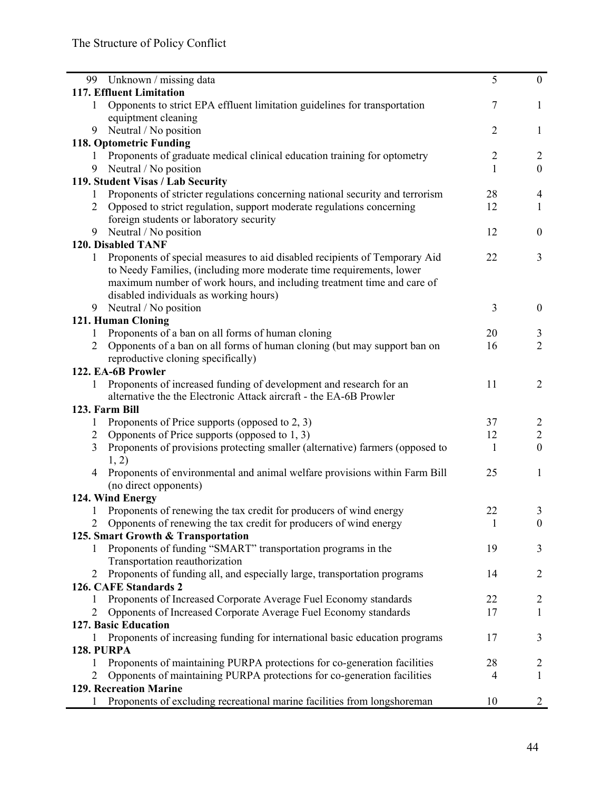| 99                                | Unknown / missing data                                                        | 5              | $\mathbf{0}$     |
|-----------------------------------|-------------------------------------------------------------------------------|----------------|------------------|
|                                   | 117. Effluent Limitation                                                      |                |                  |
| 1                                 | Opponents to strict EPA effluent limitation guidelines for transportation     | 7              | $\mathbf{1}$     |
|                                   | equiptment cleaning                                                           |                |                  |
| 9                                 | Neutral / No position                                                         | $\overline{2}$ | $\mathbf{1}$     |
|                                   | 118. Optometric Funding                                                       |                |                  |
| 1                                 | Proponents of graduate medical clinical education training for optometry      | $\overline{c}$ | $\overline{2}$   |
| 9                                 | Neutral / No position                                                         | $\mathbf{1}$   | $\mathbf{0}$     |
| 119. Student Visas / Lab Security |                                                                               |                |                  |
| 1                                 | Proponents of stricter regulations concerning national security and terrorism | 28             | $\overline{4}$   |
| $\overline{2}$                    | Opposed to strict regulation, support moderate regulations concerning         | 12             | $\mathbf{1}$     |
|                                   | foreign students or laboratory security                                       |                |                  |
| 9                                 | Neutral / No position                                                         | 12             | $\mathbf{0}$     |
|                                   | 120. Disabled TANF                                                            |                |                  |
| 1                                 | Proponents of special measures to aid disabled recipients of Temporary Aid    | 22             | $\overline{3}$   |
|                                   | to Needy Families, (including more moderate time requirements, lower          |                |                  |
|                                   | maximum number of work hours, and including treatment time and care of        |                |                  |
|                                   | disabled individuals as working hours)                                        |                |                  |
| 9                                 | Neutral / No position                                                         | 3              | $\boldsymbol{0}$ |
|                                   | 121. Human Cloning                                                            |                |                  |
| 1                                 | Proponents of a ban on all forms of human cloning                             | 20             | 3                |
| 2                                 | Opponents of a ban on all forms of human cloning (but may support ban on      | 16             | $\overline{2}$   |
|                                   | reproductive cloning specifically)                                            |                |                  |
|                                   | 122. EA-6B Prowler                                                            |                |                  |
| 1                                 | Proponents of increased funding of development and research for an            | 11             | $\overline{2}$   |
|                                   | alternative the the Electronic Attack aircraft - the EA-6B Prowler            |                |                  |
| 123. Farm Bill                    |                                                                               |                |                  |
| 1                                 | Proponents of Price supports (opposed to 2, 3)                                | 37             | $\overline{2}$   |
| $\overline{2}$                    | Opponents of Price supports (opposed to 1, 3)                                 | 12             | $\overline{2}$   |
| 3                                 | Proponents of provisions protecting smaller (alternative) farmers (opposed to | 1              | $\boldsymbol{0}$ |
|                                   | 1, 2)                                                                         |                |                  |
| 4                                 | Proponents of environmental and animal welfare provisions within Farm Bill    | 25             | 1                |
|                                   | (no direct opponents)                                                         |                |                  |
|                                   | 124. Wind Energy                                                              |                |                  |
|                                   | Proponents of renewing the tax credit for producers of wind energy            | 22             | 3                |
|                                   | Opponents of renewing the tax credit for producers of wind energy             | $\mathbf{1}$   | $\boldsymbol{0}$ |
|                                   | 125. Smart Growth & Transportation                                            |                |                  |
|                                   | Proponents of funding "SMART" transportation programs in the                  | 19             | 3                |
|                                   | Transportation reauthorization                                                |                |                  |
| 2                                 | Proponents of funding all, and especially large, transportation programs      | 14             | 2                |
|                                   | 126. CAFE Standards 2                                                         |                |                  |
| 1                                 | Proponents of Increased Corporate Average Fuel Economy standards              | 22             | $\overline{2}$   |
| 2                                 | Opponents of Increased Corporate Average Fuel Economy standards               | 17             | 1                |
|                                   | 127. Basic Education                                                          |                |                  |
|                                   | Proponents of increasing funding for international basic education programs   | 17             | 3                |
| <b>128. PURPA</b>                 |                                                                               |                |                  |
| 1                                 | Proponents of maintaining PURPA protections for co-generation facilities      | 28             | 2                |
| 2                                 | Opponents of maintaining PURPA protections for co-generation facilities       | 4              | 1                |
|                                   | 129. Recreation Marine                                                        |                |                  |
|                                   | Proponents of excluding recreational marine facilities from longshoreman      | 10             | 2                |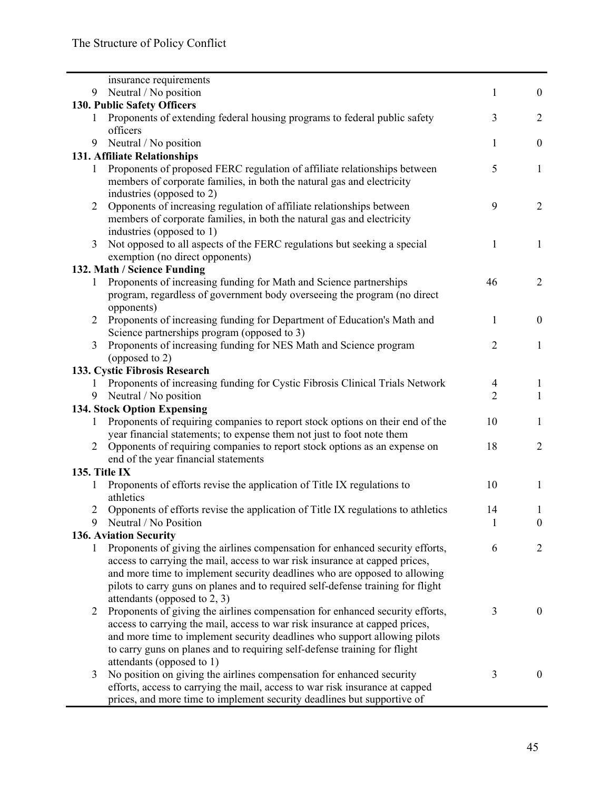|                              | insurance requirements                                                           |                                  |                  |
|------------------------------|----------------------------------------------------------------------------------|----------------------------------|------------------|
| 9                            | Neutral / No position                                                            | $\mathbf{1}$                     | $\overline{0}$   |
|                              | 130. Public Safety Officers                                                      |                                  |                  |
| 1                            | Proponents of extending federal housing programs to federal public safety        | 3                                | 2                |
|                              | officers                                                                         |                                  |                  |
| 9                            | Neutral / No position                                                            | 1                                | $\boldsymbol{0}$ |
| 131. Affiliate Relationships |                                                                                  |                                  |                  |
| 1                            | Proponents of proposed FERC regulation of affiliate relationships between        | 5                                | 1                |
|                              | members of corporate families, in both the natural gas and electricity           |                                  |                  |
|                              | industries (opposed to 2)                                                        |                                  |                  |
| $\overline{2}$               | Opponents of increasing regulation of affiliate relationships between            | 9                                | $\overline{2}$   |
|                              | members of corporate families, in both the natural gas and electricity           |                                  |                  |
|                              | industries (opposed to 1)                                                        |                                  |                  |
| 3                            | Not opposed to all aspects of the FERC regulations but seeking a special         | 1                                | 1                |
|                              | exemption (no direct opponents)                                                  |                                  |                  |
|                              | 132. Math / Science Funding                                                      |                                  |                  |
| 1                            | Proponents of increasing funding for Math and Science partnerships               | 46                               | $\overline{2}$   |
|                              | program, regardless of government body overseeing the program (no direct         |                                  |                  |
|                              | opponents)                                                                       |                                  |                  |
| $\overline{2}$               | Proponents of increasing funding for Department of Education's Math and          | 1                                | $\mathbf{0}$     |
|                              | Science partnerships program (opposed to 3)                                      |                                  |                  |
| 3                            | Proponents of increasing funding for NES Math and Science program                | $\overline{2}$                   | 1                |
|                              | (opposed to 2)<br>133. Cystic Fibrosis Research                                  |                                  |                  |
|                              | Proponents of increasing funding for Cystic Fibrosis Clinical Trials Network     |                                  | 1                |
| $\mathbf{I}$<br>9            | Neutral / No position                                                            | $\overline{4}$<br>$\overline{2}$ | 1                |
|                              | 134. Stock Option Expensing                                                      |                                  |                  |
| 1                            | Proponents of requiring companies to report stock options on their end of the    | 10                               | 1                |
|                              | year financial statements; to expense them not just to foot note them            |                                  |                  |
| 2                            | Opponents of requiring companies to report stock options as an expense on        | 18                               | $\overline{2}$   |
|                              | end of the year financial statements                                             |                                  |                  |
|                              | 135. Title IX                                                                    |                                  |                  |
| 1                            | Proponents of efforts revise the application of Title IX regulations to          | 10                               | 1                |
|                              | athletics                                                                        |                                  |                  |
| 2                            | Opponents of efforts revise the application of Title IX regulations to athletics | 14                               | 1                |
| 9                            | Neutral / No Position                                                            | $\mathbf{1}$                     | $\boldsymbol{0}$ |
|                              | 136. Aviation Security                                                           |                                  |                  |
| 1                            | Proponents of giving the airlines compensation for enhanced security efforts,    | 6                                | $\overline{2}$   |
|                              | access to carrying the mail, access to war risk insurance at capped prices,      |                                  |                  |
|                              | and more time to implement security deadlines who are opposed to allowing        |                                  |                  |
|                              | pilots to carry guns on planes and to required self-defense training for flight  |                                  |                  |
|                              | attendants (opposed to 2, 3)                                                     |                                  |                  |
| 2                            | Proponents of giving the airlines compensation for enhanced security efforts,    | 3                                | $\boldsymbol{0}$ |
|                              | access to carrying the mail, access to war risk insurance at capped prices,      |                                  |                  |
|                              | and more time to implement security deadlines who support allowing pilots        |                                  |                  |
|                              | to carry guns on planes and to requiring self-defense training for flight        |                                  |                  |
|                              | attendants (opposed to 1)                                                        |                                  |                  |
| 3                            | No position on giving the airlines compensation for enhanced security            | 3                                | $\mathbf{0}$     |
|                              | efforts, access to carrying the mail, access to war risk insurance at capped     |                                  |                  |
|                              | prices, and more time to implement security deadlines but supportive of          |                                  |                  |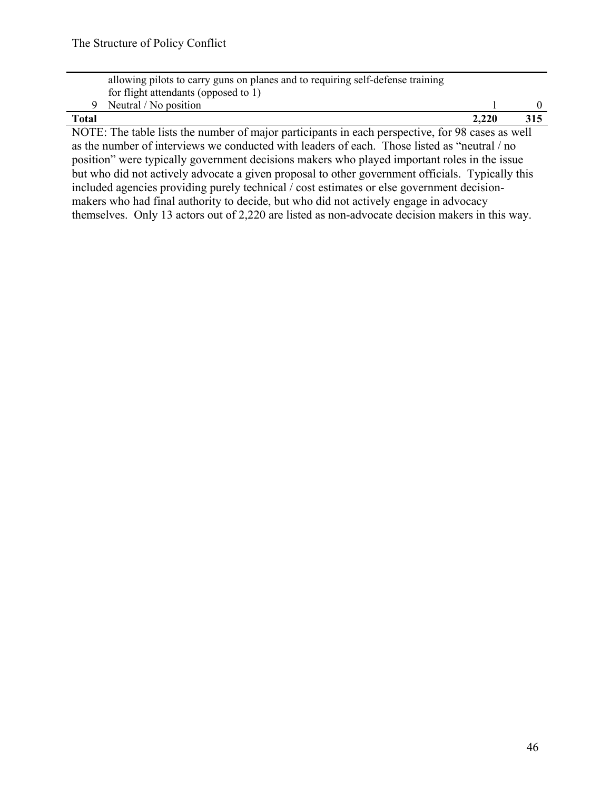|                                                                                                  | allowing pilots to carry guns on planes and to requiring self-defense training |       |     |  |  |
|--------------------------------------------------------------------------------------------------|--------------------------------------------------------------------------------|-------|-----|--|--|
|                                                                                                  | for flight attendants (opposed to 1)                                           |       |     |  |  |
|                                                                                                  | Neutral / No position                                                          |       |     |  |  |
| <b>Total</b>                                                                                     |                                                                                | 2.220 | 315 |  |  |
| NOTE: The table lists the number of major participants in each perspective, for 98 cases as well |                                                                                |       |     |  |  |

as the number of interviews we conducted with leaders of each. Those listed as "neutral / no position" were typically government decisions makers who played important roles in the issue but who did not actively advocate a given proposal to other government officials. Typically this included agencies providing purely technical / cost estimates or else government decisionmakers who had final authority to decide, but who did not actively engage in advocacy themselves. Only 13 actors out of 2,220 are listed as non-advocate decision makers in this way.